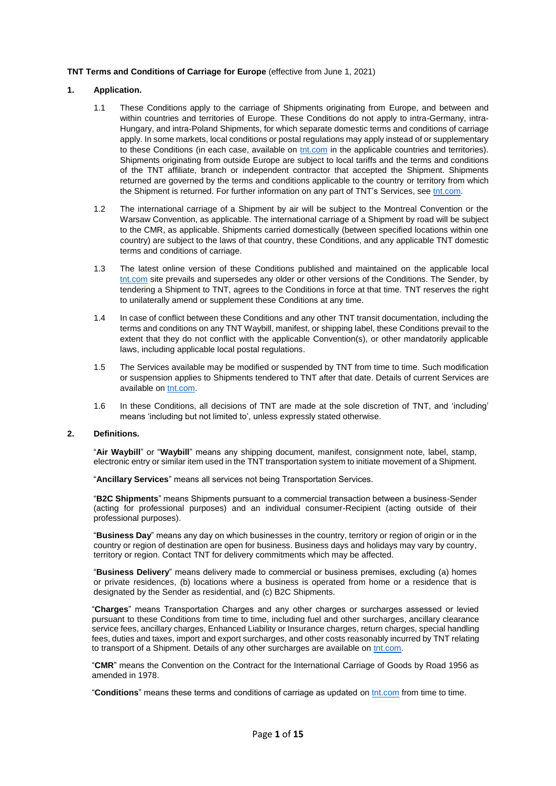### **TNT Terms and Conditions of Carriage for Europe** (effective from June 1, 2021)

### <span id="page-0-0"></span>**1. Application.**

- 1.1 These Conditions apply to the carriage of Shipments originating from Europe, and between and within countries and territories of Europe. These Conditions do not apply to intra-Germany, intra-Hungary, and intra-Poland Shipments, for which separate domestic terms and conditions of carriage apply. In some markets, local conditions or postal regulations may apply instead of or supplementary to these Conditions (in each case, available on [tnt.com](https://tnt.com/) in the applicable countries and territories). Shipments originating from outside Europe are subject to local tariffs and the terms and conditions of the TNT affiliate, branch or independent contractor that accepted the Shipment. Shipments returned are governed by the terms and conditions applicable to the country or territory from which the Shipment is returned. For further information on any part of TNT's Services, see [tnt.com.](https://tnt.com/)
- 1.2 The international carriage of a Shipment by air will be subject to the Montreal Convention or the Warsaw Convention, as applicable. The international carriage of a Shipment by road will be subject to the CMR, as applicable. Shipments carried domestically (between specified locations within one country) are subject to the laws of that country, these Conditions, and any applicable TNT domestic terms and conditions of carriage.
- 1.3 The latest online version of these Conditions published and maintained on the applicable local [tnt.com](https://tnt.com/) site prevails and supersedes any older or other versions of the Conditions. The Sender, by tendering a Shipment to TNT, agrees to the Conditions in force at that time. TNT reserves the right to unilaterally amend or supplement these Conditions at any time.
- 1.4 In case of conflict between these Conditions and any other TNT transit documentation, including the terms and conditions on any TNT Waybill, manifest, or shipping label, these Conditions prevail to the extent that they do not conflict with the applicable Convention(s), or other mandatorily applicable laws, including applicable local postal regulations.
- 1.5 The Services available may be modified or suspended by TNT from time to time. Such modification or suspension applies to Shipments tendered to TNT after that date. Details of current Services are available on [tnt.com.](https://tnt.com/)
- 1.6 In these Conditions, all decisions of TNT are made at the sole discretion of TNT, and 'including' means 'including but not limited to', unless expressly stated otherwise.

# **2. Definitions.**

"**Air Waybill**" or "**Waybill**" means any shipping document, manifest, consignment note, label, stamp, electronic entry or similar item used in the TNT transportation system to initiate movement of a Shipment.

"**Ancillary Services**" means all services not being Transportation Services.

"**B2C Shipments**" means Shipments pursuant to a commercial transaction between a business-Sender (acting for professional purposes) and an individual consumer-Recipient (acting outside of their professional purposes).

"**Business Day**" means any day on which businesses in the country, territory or region of origin or in the country or region of destination are open for business. Business days and holidays may vary by country, territory or region. Contact TNT for delivery commitments which may be affected.

"**Business Delivery**" means delivery made to commercial or business premises, excluding (a) homes or private residences, (b) locations where a business is operated from home or a residence that is designated by the Sender as residential, and (c) B2C Shipments.

"**Charges**" means Transportation Charges and any other charges or surcharges assessed or levied pursuant to these Conditions from time to time, including fuel and other surcharges, ancillary clearance service fees, ancillary charges, Enhanced Liability or Insurance charges, return charges, special handling fees, duties and taxes, import and export surcharges, and other costs reasonably incurred by TNT relating to transport of a Shipment. Details of any other surcharges are available on [tnt.com.](https://tnt.com/)

"**CMR**" means the Convention on the Contract for the International Carriage of Goods by Road 1956 as amended in 1978.

"**Conditions**" means these terms and conditions of carriage as updated on [tnt.com](https://tnt.com/) from time to time.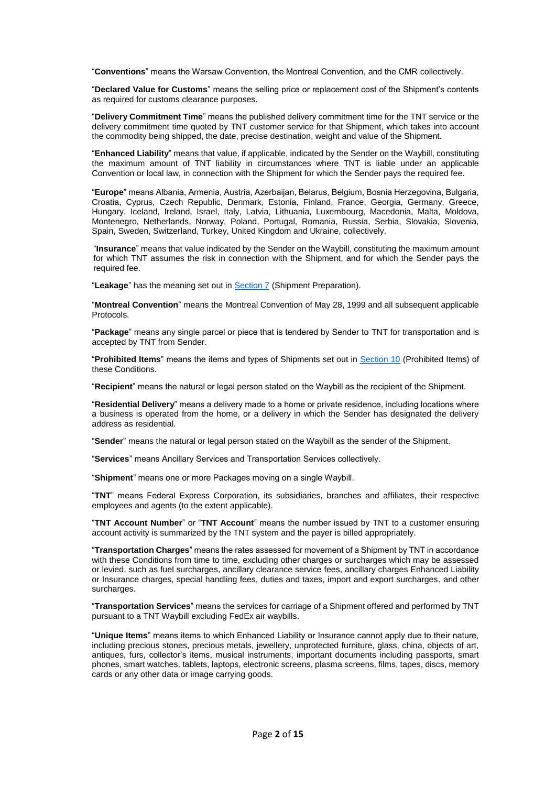"**Conventions**" means the Warsaw Convention, the Montreal Convention, and the CMR collectively.

"**Declared Value for Customs**" means the selling price or replacement cost of the Shipment's contents as required for customs clearance purposes.

"**Delivery Commitment Time**" means the published delivery commitment time for the TNT service or the delivery commitment time quoted by TNT customer service for that Shipment, which takes into account the commodity being shipped, the date, precise destination, weight and value of the Shipment.

"**Enhanced Liability**" means that value, if applicable, indicated by the Sender on the Waybill, constituting the maximum amount of TNT liability in circumstances where TNT is liable under an applicable Convention or local law, in connection with the Shipment for which the Sender pays the required fee.

"**Europe**" means Albania, Armenia, Austria, Azerbaijan, Belarus, Belgium, Bosnia Herzegovina, Bulgaria, Croatia, Cyprus, Czech Republic, Denmark, Estonia, Finland, France, Georgia, Germany, Greece, Hungary, Iceland, Ireland, Israel, Italy, Latvia, Lithuania, Luxembourg, Macedonia, Malta, Moldova, Montenegro, Netherlands, Norway, Poland, Portugal, Romania, Russia, Serbia, Slovakia, Slovenia, Spain, Sweden, Switzerland, Turkey, United Kingdom and Ukraine, collectively.

"**Insurance**" means that value indicated by the Sender on the Waybill, constituting the maximum amount for which TNT assumes the risk in connection with the Shipment, and for which the Sender pays the required fee.

"**Leakage**" has the meaning set out in [Section 7](#page-3-0) (Shipment Preparation).

"**Montreal Convention**" means the Montreal Convention of May 28, 1999 and all subsequent applicable Protocols.

"**Package**" means any single parcel or piece that is tendered by Sender to TNT for transportation and is accepted by TNT from Sender.

"**Prohibited Items**" means the items and types of Shipments set out in [Section 10](#page-4-0) (Prohibited Items) of these Conditions.

"**Recipient**" means the natural or legal person stated on the Waybill as the recipient of the Shipment.

"**Residential Delivery**" means a delivery made to a home or private residence, including locations where a business is operated from the home, or a delivery in which the Sender has designated the delivery address as residential.

"**Sender**" means the natural or legal person stated on the Waybill as the sender of the Shipment.

"**Services**" means Ancillary Services and Transportation Services collectively.

"**Shipment**" means one or more Packages moving on a single Waybill.

"**TNT**" means Federal Express Corporation, its subsidiaries, branches and affiliates, their respective employees and agents (to the extent applicable).

"**TNT Account Number**" or "**TNT Account**" means the number issued by TNT to a customer ensuring account activity is summarized by the TNT system and the payer is billed appropriately.

"**Transportation Charges**" means the rates assessed for movement of a Shipment by TNT in accordance with these Conditions from time to time, excluding other charges or surcharges which may be assessed or levied, such as fuel surcharges, ancillary clearance service fees, ancillary charges Enhanced Liability or Insurance charges, special handling fees, duties and taxes, import and export surcharges, and other surcharges.

"**Transportation Services**" means the services for carriage of a Shipment offered and performed by TNT pursuant to a TNT Waybill excluding FedEx air waybills.

"**Unique Items**" means items to which Enhanced Liability or Insurance cannot apply due to their nature, including precious stones, precious metals, jewellery, unprotected furniture, glass, china, objects of art, antiques, furs, collector's items, musical instruments, important documents including passports, smart phones, smart watches, tablets, laptops, electronic screens, plasma screens, films, tapes, discs, memory cards or any other data or image carrying goods.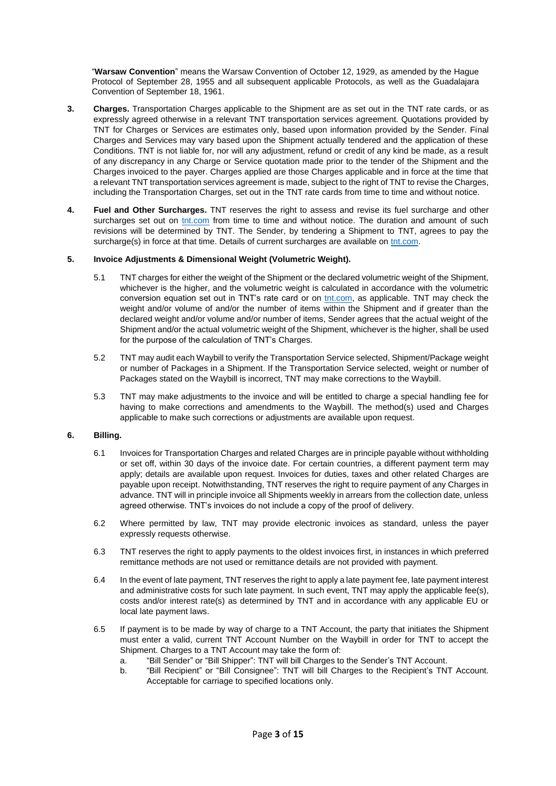"**Warsaw Convention**" means the Warsaw Convention of October 12, 1929, as amended by the Hague Protocol of September 28, 1955 and all subsequent applicable Protocols, as well as the Guadalajara Convention of September 18, 1961.

- **3. Charges.** Transportation Charges applicable to the Shipment are as set out in the TNT rate cards, or as expressly agreed otherwise in a relevant TNT transportation services agreement. Quotations provided by TNT for Charges or Services are estimates only, based upon information provided by the Sender. Final Charges and Services may vary based upon the Shipment actually tendered and the application of these Conditions. TNT is not liable for, nor will any adjustment, refund or credit of any kind be made, as a result of any discrepancy in any Charge or Service quotation made prior to the tender of the Shipment and the Charges invoiced to the payer. Charges applied are those Charges applicable and in force at the time that a relevant TNT transportation services agreement is made, subject to the right of TNT to revise the Charges, including the Transportation Charges, set out in the TNT rate cards from time to time and without notice.
- **4. Fuel and Other Surcharges.** TNT reserves the right to assess and revise its fuel surcharge and other surcharges set out on [tnt.com](https://tnt.com/) from time to time and without notice. The duration and amount of such revisions will be determined by TNT. The Sender, by tendering a Shipment to TNT, agrees to pay the surcharge(s) in force at that time. Details of current surcharges are available on [tnt.com.](https://tnt.com/)

## **5. Invoice Adjustments & Dimensional Weight (Volumetric Weight).**

- 5.1 TNT charges for either the weight of the Shipment or the declared volumetric weight of the Shipment, whichever is the higher, and the volumetric weight is calculated in accordance with the volumetric conversion equation set out in TNT's rate card or on [tnt.com,](https://tnt.com/) as applicable. TNT may check the weight and/or volume of and/or the number of items within the Shipment and if greater than the declared weight and/or volume and/or number of items, Sender agrees that the actual weight of the Shipment and/or the actual volumetric weight of the Shipment, whichever is the higher, shall be used for the purpose of the calculation of TNT's Charges.
- 5.2 TNT may audit each Waybill to verify the Transportation Service selected, Shipment/Package weight or number of Packages in a Shipment. If the Transportation Service selected, weight or number of Packages stated on the Waybill is incorrect, TNT may make corrections to the Waybill.
- 5.3 TNT may make adjustments to the invoice and will be entitled to charge a special handling fee for having to make corrections and amendments to the Waybill. The method(s) used and Charges applicable to make such corrections or adjustments are available upon request.

## **6. Billing.**

- 6.1 Invoices for Transportation Charges and related Charges are in principle payable without withholding or set off, within 30 days of the invoice date. For certain countries, a different payment term may apply; details are available upon request. Invoices for duties, taxes and other related Charges are payable upon receipt. Notwithstanding, TNT reserves the right to require payment of any Charges in advance. TNT will in principle invoice all Shipments weekly in arrears from the collection date, unless agreed otherwise. TNT's invoices do not include a copy of the proof of delivery.
- 6.2 Where permitted by law, TNT may provide electronic invoices as standard, unless the payer expressly requests otherwise.
- 6.3 TNT reserves the right to apply payments to the oldest invoices first, in instances in which preferred remittance methods are not used or remittance details are not provided with payment.
- 6.4 In the event of late payment, TNT reserves the right to apply a late payment fee, late payment interest and administrative costs for such late payment. In such event, TNT may apply the applicable fee(s), costs and/or interest rate(s) as determined by TNT and in accordance with any applicable EU or local late payment laws.
- 6.5 If payment is to be made by way of charge to a TNT Account, the party that initiates the Shipment must enter a valid, current TNT Account Number on the Waybill in order for TNT to accept the Shipment. Charges to a TNT Account may take the form of:
	- a. "Bill Sender" or "Bill Shipper": TNT will bill Charges to the Sender's TNT Account.
	- b. "Bill Recipient" or "Bill Consignee": TNT will bill Charges to the Recipient's TNT Account. Acceptable for carriage to specified locations only.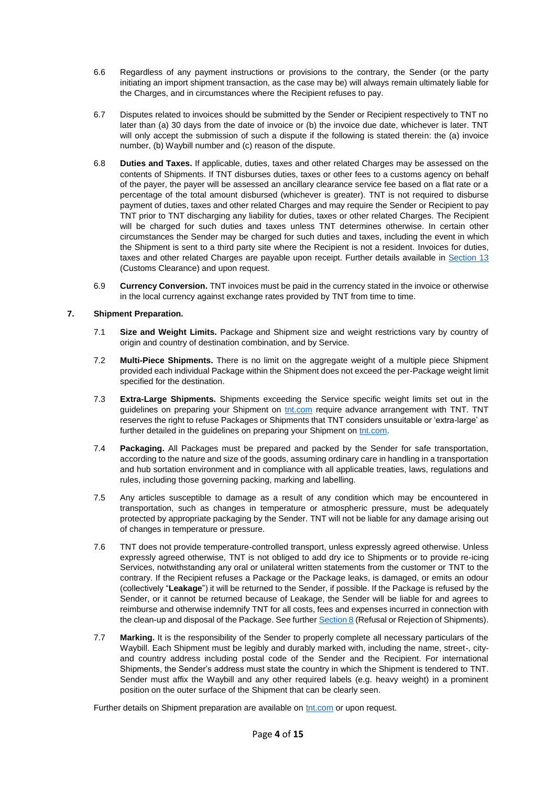- 6.6 Regardless of any payment instructions or provisions to the contrary, the Sender (or the party initiating an import shipment transaction, as the case may be) will always remain ultimately liable for the Charges, and in circumstances where the Recipient refuses to pay.
- 6.7 Disputes related to invoices should be submitted by the Sender or Recipient respectively to TNT no later than (a) 30 days from the date of invoice or (b) the invoice due date, whichever is later. TNT will only accept the submission of such a dispute if the following is stated therein: the (a) invoice number, (b) Waybill number and (c) reason of the dispute.
- 6.8 **Duties and Taxes.** If applicable, duties, taxes and other related Charges may be assessed on the contents of Shipments. If TNT disburses duties, taxes or other fees to a customs agency on behalf of the payer, the payer will be assessed an ancillary clearance service fee based on a flat rate or a percentage of the total amount disbursed (whichever is greater). TNT is not required to disburse payment of duties, taxes and other related Charges and may require the Sender or Recipient to pay TNT prior to TNT discharging any liability for duties, taxes or other related Charges. The Recipient will be charged for such duties and taxes unless TNT determines otherwise. In certain other circumstances the Sender may be charged for such duties and taxes, including the event in which the Shipment is sent to a third party site where the Recipient is not a resident. Invoices for duties, taxes and other related Charges are payable upon receipt. Further details available in [Section](#page-6-0) 13 (Customs Clearance) and upon request.
- 6.9 **Currency Conversion.** TNT invoices must be paid in the currency stated in the invoice or otherwise in the local currency against exchange rates provided by TNT from time to time.

# <span id="page-3-0"></span>**7. Shipment Preparation.**

- 7.1 **Size and Weight Limits.** Package and Shipment size and weight restrictions vary by country of origin and country of destination combination, and by Service.
- 7.2 **Multi-Piece Shipments.** There is no limit on the aggregate weight of a multiple piece Shipment provided each individual Package within the Shipment does not exceed the per-Package weight limit specified for the destination.
- 7.3 **Extra-Large Shipments.** Shipments exceeding the Service specific weight limits set out in the guidelines on preparing your Shipment on tht.com require advance arrangement with TNT. TNT reserves the right to refuse Packages or Shipments that TNT considers unsuitable or 'extra-large' as further detailed in the quidelines on preparing your Shipment on [tnt.com.](https://tnt.com/)
- 7.4 **Packaging.** All Packages must be prepared and packed by the Sender for safe transportation, according to the nature and size of the goods, assuming ordinary care in handling in a transportation and hub sortation environment and in compliance with all applicable treaties, laws, regulations and rules, including those governing packing, marking and labelling.
- 7.5 Any articles susceptible to damage as a result of any condition which may be encountered in transportation, such as changes in temperature or atmospheric pressure, must be adequately protected by appropriate packaging by the Sender. TNT will not be liable for any damage arising out of changes in temperature or pressure.
- 7.6 TNT does not provide temperature-controlled transport, unless expressly agreed otherwise. Unless expressly agreed otherwise, TNT is not obliged to add dry ice to Shipments or to provide re-icing Services, notwithstanding any oral or unilateral written statements from the customer or TNT to the contrary. If the Recipient refuses a Package or the Package leaks, is damaged, or emits an odour (collectively "**Leakage**") it will be returned to the Sender, if possible. If the Package is refused by the Sender, or it cannot be returned because of Leakage, the Sender will be liable for and agrees to reimburse and otherwise indemnify TNT for all costs, fees and expenses incurred in connection with the clean-up and disposal of the Package. See furthe[r Section 8](#page-4-1) (Refusal or Rejection of Shipments).
- 7.7 **Marking.** It is the responsibility of the Sender to properly complete all necessary particulars of the Waybill. Each Shipment must be legibly and durably marked with, including the name, street-, cityand country address including postal code of the Sender and the Recipient. For international Shipments, the Sender's address must state the country in which the Shipment is tendered to TNT. Sender must affix the Waybill and any other required labels (e.g. heavy weight) in a prominent position on the outer surface of the Shipment that can be clearly seen.

Further details on Shipment preparation are available on [tnt.com](https://tnt.com/) or upon request.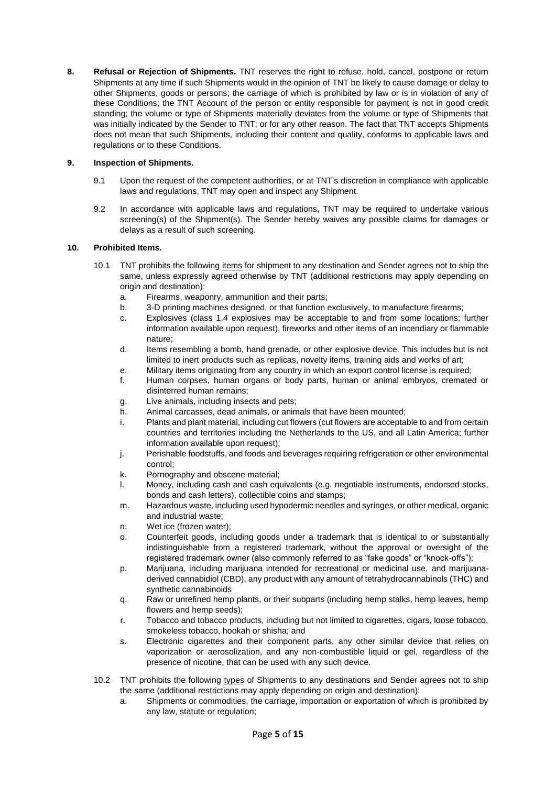<span id="page-4-1"></span>**8. Refusal or Rejection of Shipments.** TNT reserves the right to refuse, hold, cancel, postpone or return Shipments at any time if such Shipments would in the opinion of TNT be likely to cause damage or delay to other Shipments, goods or persons; the carriage of which is prohibited by law or is in violation of any of these Conditions; the TNT Account of the person or entity responsible for payment is not in good credit standing; the volume or type of Shipments materially deviates from the volume or type of Shipments that was initially indicated by the Sender to TNT; or for any other reason. The fact that TNT accepts Shipments does not mean that such Shipments, including their content and quality, conforms to applicable laws and regulations or to these Conditions.

## **9. Inspection of Shipments.**

- 9.1 Upon the request of the competent authorities, or at TNT's discretion in compliance with applicable laws and regulations, TNT may open and inspect any Shipment.
- 9.2 In accordance with applicable laws and regulations, TNT may be required to undertake various screening(s) of the Shipment(s). The Sender hereby waives any possible claims for damages or delays as a result of such screening.

## <span id="page-4-0"></span>**10. Prohibited Items.**

- 10.1 TNT prohibits the following items for shipment to any destination and Sender agrees not to ship the same, unless expressly agreed otherwise by TNT (additional restrictions may apply depending on origin and destination):
	- a. Firearms, weaponry, ammunition and their parts;
	- b. 3-D printing machines designed, or that function exclusively, to manufacture firearms;
	- c. Explosives (class 1.4 explosives may be acceptable to and from some locations; further information available upon request), fireworks and other items of an incendiary or flammable nature;
	- d. Items resembling a bomb, hand grenade, or other explosive device. This includes but is not limited to inert products such as replicas, novelty items, training aids and works of art;
	- e. Military items originating from any country in which an export control license is required;
	- f. Human corpses, human organs or body parts, human or animal embryos, cremated or disinterred human remains;
	- g. Live animals, including insects and pets;
	- h. Animal carcasses, dead animals, or animals that have been mounted;
	- i. Plants and plant material, including cut flowers (cut flowers are acceptable to and from certain countries and territories including the Netherlands to the US, and all Latin America; further information available upon request);
	- j. Perishable foodstuffs, and foods and beverages requiring refrigeration or other environmental control;
	- k. Pornography and obscene material;
	- l. Money, including cash and cash equivalents (e.g. negotiable instruments, endorsed stocks, bonds and cash letters), collectible coins and stamps;
	- m. Hazardous waste, including used hypodermic needles and syringes, or other medical, organic and industrial waste;
	- n. Wet ice (frozen water);
	- o. Counterfeit goods, including goods under a trademark that is identical to or substantially indistinguishable from a registered trademark, without the approval or oversight of the registered trademark owner (also commonly referred to as "fake goods" or "knock-offs");
	- p. Marijuana, including marijuana intended for recreational or medicinal use, and marijuanaderived cannabidiol (CBD), any product with any amount of tetrahydrocannabinols (THC) and synthetic cannabinoids
	- q. Raw or unrefined hemp plants, or their subparts (including hemp stalks, hemp leaves, hemp flowers and hemp seeds);
	- r. Tobacco and tobacco products, including but not limited to cigarettes, cigars, loose tobacco, smokeless tobacco, hookah or shisha; and
	- s. Electronic cigarettes and their component parts, any other similar device that relies on vaporization or aerosolization, and any non-combustible liquid or gel, regardless of the presence of nicotine, that can be used with any such device.
- 10.2 TNT prohibits the following types of Shipments to any destinations and Sender agrees not to ship the same (additional restrictions may apply depending on origin and destination):
	- a. Shipments or commodities, the carriage, importation or exportation of which is prohibited by any law, statute or regulation;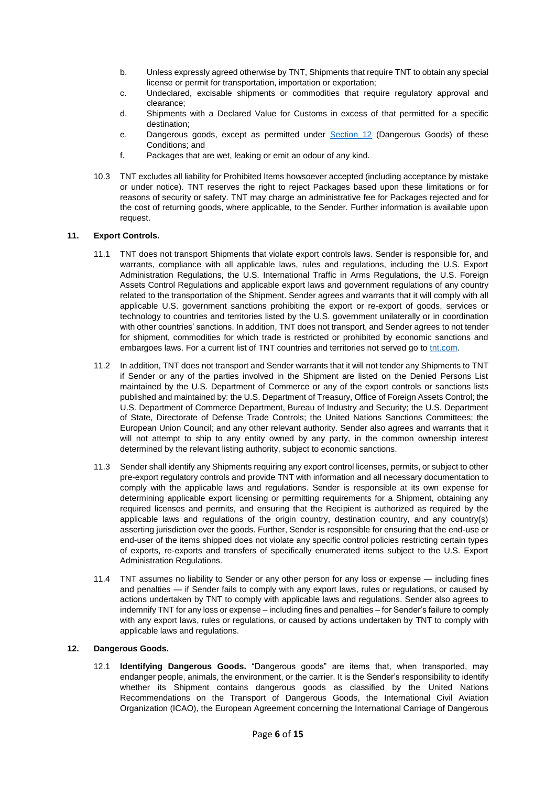- b. Unless expressly agreed otherwise by TNT, Shipments that require TNT to obtain any special license or permit for transportation, importation or exportation;
- c. Undeclared, excisable shipments or commodities that require regulatory approval and clearance;
- d. Shipments with a Declared Value for Customs in excess of that permitted for a specific destination;
- e. Dangerous goods, except as permitted under [Section 12](#page-5-0) (Dangerous Goods) of these Conditions; and
- f. Packages that are wet, leaking or emit an odour of any kind.
- 10.3 TNT excludes all liability for Prohibited Items howsoever accepted (including acceptance by mistake or under notice). TNT reserves the right to reject Packages based upon these limitations or for reasons of security or safety. TNT may charge an administrative fee for Packages rejected and for the cost of returning goods, where applicable, to the Sender. Further information is available upon request.

### **11. Export Controls.**

- 11.1 TNT does not transport Shipments that violate export controls laws. Sender is responsible for, and warrants, compliance with all applicable laws, rules and regulations, including the U.S. Export Administration Regulations, the U.S. International Traffic in Arms Regulations, the U.S. Foreign Assets Control Regulations and applicable export laws and government regulations of any country related to the transportation of the Shipment. Sender agrees and warrants that it will comply with all applicable U.S. government sanctions prohibiting the export or re-export of goods, services or technology to countries and territories listed by the U.S. government unilaterally or in coordination with other countries' sanctions. In addition, TNT does not transport, and Sender agrees to not tender for shipment, commodities for which trade is restricted or prohibited by economic sanctions and embargoes laws. For a current list of TNT countries and territories not served go to [tnt.com.](https://tnt.com/)
- 11.2 In addition, TNT does not transport and Sender warrants that it will not tender any Shipments to TNT if Sender or any of the parties involved in the Shipment are listed on the Denied Persons List maintained by the U.S. Department of Commerce or any of the export controls or sanctions lists published and maintained by: the U.S. Department of Treasury, Office of Foreign Assets Control; the U.S. Department of Commerce Department, Bureau of Industry and Security; the U.S. Department of State, Directorate of Defense Trade Controls; the United Nations Sanctions Committees; the European Union Council; and any other relevant authority. Sender also agrees and warrants that it will not attempt to ship to any entity owned by any party, in the common ownership interest determined by the relevant listing authority, subject to economic sanctions.
- 11.3 Sender shall identify any Shipments requiring any export control licenses, permits, or subject to other pre-export regulatory controls and provide TNT with information and all necessary documentation to comply with the applicable laws and regulations. Sender is responsible at its own expense for determining applicable export licensing or permitting requirements for a Shipment, obtaining any required licenses and permits, and ensuring that the Recipient is authorized as required by the applicable laws and regulations of the origin country, destination country, and any country(s) asserting jurisdiction over the goods. Further, Sender is responsible for ensuring that the end-use or end-user of the items shipped does not violate any specific control policies restricting certain types of exports, re-exports and transfers of specifically enumerated items subject to the U.S. Export Administration Regulations.
- 11.4 TNT assumes no liability to Sender or any other person for any loss or expense including fines and penalties — if Sender fails to comply with any export laws, rules or regulations, or caused by actions undertaken by TNT to comply with applicable laws and regulations. Sender also agrees to indemnify TNT for any loss or expense – including fines and penalties – for Sender's failure to comply with any export laws, rules or regulations, or caused by actions undertaken by TNT to comply with applicable laws and regulations.

## <span id="page-5-0"></span>**12. Dangerous Goods.**

12.1 **Identifying Dangerous Goods.** "Dangerous goods" are items that, when transported, may endanger people, animals, the environment, or the carrier. It is the Sender's responsibility to identify whether its Shipment contains dangerous goods as classified by the United Nations Recommendations on the Transport of Dangerous Goods, the International Civil Aviation Organization (ICAO), the European Agreement concerning the International Carriage of Dangerous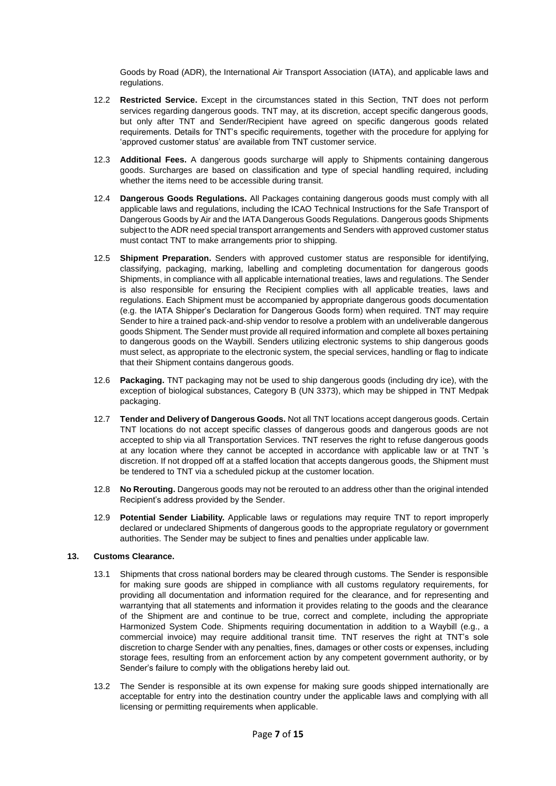Goods by Road (ADR), the International Air Transport Association (IATA), and applicable laws and regulations.

- 12.2 **Restricted Service.** Except in the circumstances stated in this Section, TNT does not perform services regarding dangerous goods. TNT may, at its discretion, accept specific dangerous goods, but only after TNT and Sender/Recipient have agreed on specific dangerous goods related requirements. Details for TNT's specific requirements, together with the procedure for applying for 'approved customer status' are available from TNT customer service.
- 12.3 **Additional Fees.** A dangerous goods surcharge will apply to Shipments containing dangerous goods. Surcharges are based on classification and type of special handling required, including whether the items need to be accessible during transit.
- 12.4 **Dangerous Goods Regulations.** All Packages containing dangerous goods must comply with all applicable laws and regulations, including the ICAO Technical Instructions for the Safe Transport of Dangerous Goods by Air and the IATA Dangerous Goods Regulations. Dangerous goods Shipments subject to the ADR need special transport arrangements and Senders with approved customer status must contact TNT to make arrangements prior to shipping.
- 12.5 **Shipment Preparation.** Senders with approved customer status are responsible for identifying, classifying, packaging, marking, labelling and completing documentation for dangerous goods Shipments, in compliance with all applicable international treaties, laws and regulations. The Sender is also responsible for ensuring the Recipient complies with all applicable treaties, laws and regulations. Each Shipment must be accompanied by appropriate dangerous goods documentation (e.g. the IATA Shipper's Declaration for Dangerous Goods form) when required. TNT may require Sender to hire a trained pack-and-ship vendor to resolve a problem with an undeliverable dangerous goods Shipment. The Sender must provide all required information and complete all boxes pertaining to dangerous goods on the Waybill. Senders utilizing electronic systems to ship dangerous goods must select, as appropriate to the electronic system, the special services, handling or flag to indicate that their Shipment contains dangerous goods.
- 12.6 **Packaging.** TNT packaging may not be used to ship dangerous goods (including dry ice), with the exception of biological substances, Category B (UN 3373), which may be shipped in TNT Medpak packaging.
- 12.7 **Tender and Delivery of Dangerous Goods.** Not all TNT locations accept dangerous goods. Certain TNT locations do not accept specific classes of dangerous goods and dangerous goods are not accepted to ship via all Transportation Services. TNT reserves the right to refuse dangerous goods at any location where they cannot be accepted in accordance with applicable law or at TNT 's discretion. If not dropped off at a staffed location that accepts dangerous goods, the Shipment must be tendered to TNT via a scheduled pickup at the customer location.
- 12.8 **No Rerouting.** Dangerous goods may not be rerouted to an address other than the original intended Recipient's address provided by the Sender.
- 12.9 **Potential Sender Liability.** Applicable laws or regulations may require TNT to report improperly declared or undeclared Shipments of dangerous goods to the appropriate regulatory or government authorities. The Sender may be subject to fines and penalties under applicable law.

### <span id="page-6-0"></span>**13. Customs Clearance.**

- 13.1 Shipments that cross national borders may be cleared through customs. The Sender is responsible for making sure goods are shipped in compliance with all customs regulatory requirements, for providing all documentation and information required for the clearance, and for representing and warrantying that all statements and information it provides relating to the goods and the clearance of the Shipment are and continue to be true, correct and complete, including the appropriate Harmonized System Code. Shipments requiring documentation in addition to a Waybill (e.g., a commercial invoice) may require additional transit time. TNT reserves the right at TNT's sole discretion to charge Sender with any penalties, fines, damages or other costs or expenses, including storage fees, resulting from an enforcement action by any competent government authority, or by Sender's failure to comply with the obligations hereby laid out.
- 13.2 The Sender is responsible at its own expense for making sure goods shipped internationally are acceptable for entry into the destination country under the applicable laws and complying with all licensing or permitting requirements when applicable.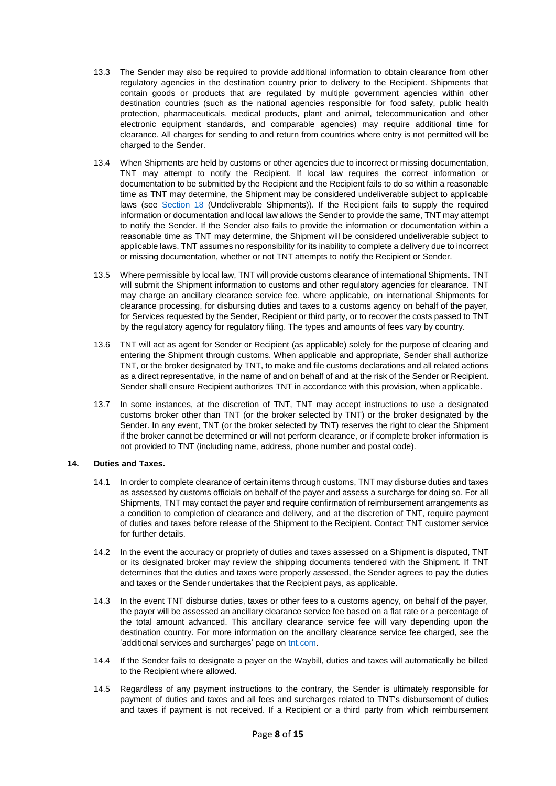- 13.3 The Sender may also be required to provide additional information to obtain clearance from other regulatory agencies in the destination country prior to delivery to the Recipient. Shipments that contain goods or products that are regulated by multiple government agencies within other destination countries (such as the national agencies responsible for food safety, public health protection, pharmaceuticals, medical products, plant and animal, telecommunication and other electronic equipment standards, and comparable agencies) may require additional time for clearance. All charges for sending to and return from countries where entry is not permitted will be charged to the Sender.
- 13.4 When Shipments are held by customs or other agencies due to incorrect or missing documentation, TNT may attempt to notify the Recipient. If local law requires the correct information or documentation to be submitted by the Recipient and the Recipient fails to do so within a reasonable time as TNT may determine, the Shipment may be considered undeliverable subject to applicable laws (see [Section 18](#page-9-0) (Undeliverable Shipments)). If the Recipient fails to supply the required information or documentation and local law allows the Sender to provide the same, TNT may attempt to notify the Sender. If the Sender also fails to provide the information or documentation within a reasonable time as TNT may determine, the Shipment will be considered undeliverable subject to applicable laws. TNT assumes no responsibility for its inability to complete a delivery due to incorrect or missing documentation, whether or not TNT attempts to notify the Recipient or Sender.
- 13.5 Where permissible by local law, TNT will provide customs clearance of international Shipments. TNT will submit the Shipment information to customs and other regulatory agencies for clearance. TNT may charge an ancillary clearance service fee, where applicable, on international Shipments for clearance processing, for disbursing duties and taxes to a customs agency on behalf of the payer, for Services requested by the Sender, Recipient or third party, or to recover the costs passed to TNT by the regulatory agency for regulatory filing. The types and amounts of fees vary by country.
- 13.6 TNT will act as agent for Sender or Recipient (as applicable) solely for the purpose of clearing and entering the Shipment through customs. When applicable and appropriate, Sender shall authorize TNT, or the broker designated by TNT, to make and file customs declarations and all related actions as a direct representative, in the name of and on behalf of and at the risk of the Sender or Recipient. Sender shall ensure Recipient authorizes TNT in accordance with this provision, when applicable.
- 13.7 In some instances, at the discretion of TNT, TNT may accept instructions to use a designated customs broker other than TNT (or the broker selected by TNT) or the broker designated by the Sender. In any event, TNT (or the broker selected by TNT) reserves the right to clear the Shipment if the broker cannot be determined or will not perform clearance, or if complete broker information is not provided to TNT (including name, address, phone number and postal code).

## **14. Duties and Taxes.**

- 14.1 In order to complete clearance of certain items through customs, TNT may disburse duties and taxes as assessed by customs officials on behalf of the payer and assess a surcharge for doing so. For all Shipments, TNT may contact the payer and require confirmation of reimbursement arrangements as a condition to completion of clearance and delivery, and at the discretion of TNT, require payment of duties and taxes before release of the Shipment to the Recipient. Contact TNT customer service for further details.
- 14.2 In the event the accuracy or propriety of duties and taxes assessed on a Shipment is disputed, TNT or its designated broker may review the shipping documents tendered with the Shipment. If TNT determines that the duties and taxes were properly assessed, the Sender agrees to pay the duties and taxes or the Sender undertakes that the Recipient pays, as applicable.
- 14.3 In the event TNT disburse duties, taxes or other fees to a customs agency, on behalf of the payer, the payer will be assessed an ancillary clearance service fee based on a flat rate or a percentage of the total amount advanced. This ancillary clearance service fee will vary depending upon the destination country. For more information on the ancillary clearance service fee charged, see the 'additional services and surcharges' page on [tnt.com.](https://tnt.com/)
- 14.4 If the Sender fails to designate a payer on the Waybill, duties and taxes will automatically be billed to the Recipient where allowed.
- 14.5 Regardless of any payment instructions to the contrary, the Sender is ultimately responsible for payment of duties and taxes and all fees and surcharges related to TNT's disbursement of duties and taxes if payment is not received. If a Recipient or a third party from which reimbursement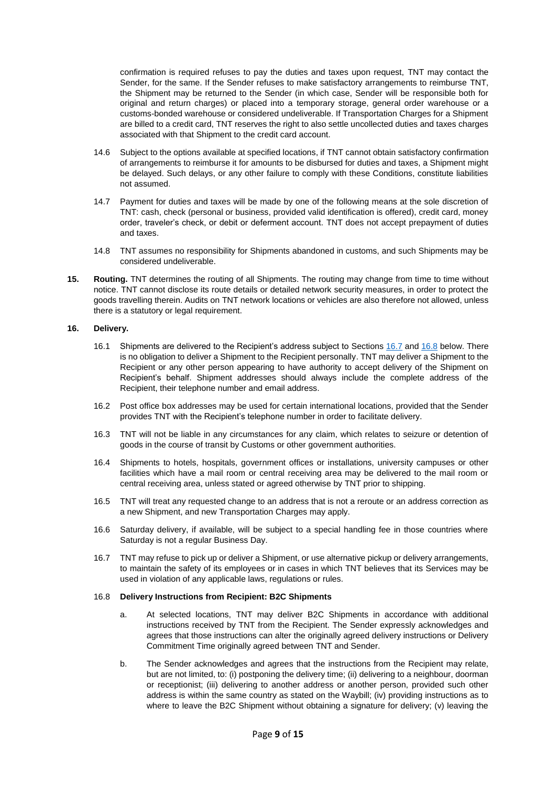confirmation is required refuses to pay the duties and taxes upon request, TNT may contact the Sender, for the same. If the Sender refuses to make satisfactory arrangements to reimburse TNT, the Shipment may be returned to the Sender (in which case, Sender will be responsible both for original and return charges) or placed into a temporary storage, general order warehouse or a customs-bonded warehouse or considered undeliverable. If Transportation Charges for a Shipment are billed to a credit card, TNT reserves the right to also settle uncollected duties and taxes charges associated with that Shipment to the credit card account.

- 14.6 Subject to the options available at specified locations, if TNT cannot obtain satisfactory confirmation of arrangements to reimburse it for amounts to be disbursed for duties and taxes, a Shipment might be delayed. Such delays, or any other failure to comply with these Conditions, constitute liabilities not assumed.
- 14.7 Payment for duties and taxes will be made by one of the following means at the sole discretion of TNT: cash, check (personal or business, provided valid identification is offered), credit card, money order, traveler's check, or debit or deferment account. TNT does not accept prepayment of duties and taxes.
- 14.8 TNT assumes no responsibility for Shipments abandoned in customs, and such Shipments may be considered undeliverable.
- **15. Routing.** TNT determines the routing of all Shipments. The routing may change from time to time without notice. TNT cannot disclose its route details or detailed network security measures, in order to protect the goods travelling therein. Audits on TNT network locations or vehicles are also therefore not allowed, unless there is a statutory or legal requirement.

#### **16. Delivery.**

- 16.1 Shipments are delivered to the Recipient's address subject to Sections [16.7](#page-8-0) and [16.8](#page-8-1) below. There is no obligation to deliver a Shipment to the Recipient personally. TNT may deliver a Shipment to the Recipient or any other person appearing to have authority to accept delivery of the Shipment on Recipient's behalf. Shipment addresses should always include the complete address of the Recipient, their telephone number and email address.
- 16.2 Post office box addresses may be used for certain international locations, provided that the Sender provides TNT with the Recipient's telephone number in order to facilitate delivery.
- 16.3 TNT will not be liable in any circumstances for any claim, which relates to seizure or detention of goods in the course of transit by Customs or other government authorities.
- 16.4 Shipments to hotels, hospitals, government offices or installations, university campuses or other facilities which have a mail room or central receiving area may be delivered to the mail room or central receiving area, unless stated or agreed otherwise by TNT prior to shipping.
- 16.5 TNT will treat any requested change to an address that is not a reroute or an address correction as a new Shipment, and new Transportation Charges may apply.
- 16.6 Saturday delivery, if available, will be subject to a special handling fee in those countries where Saturday is not a regular Business Day.
- <span id="page-8-0"></span>16.7 TNT may refuse to pick up or deliver a Shipment, or use alternative pickup or delivery arrangements, to maintain the safety of its employees or in cases in which TNT believes that its Services may be used in violation of any applicable laws, regulations or rules.

#### <span id="page-8-1"></span>16.8 **Delivery Instructions from Recipient: B2C Shipments**

- a. At selected locations, TNT may deliver B2C Shipments in accordance with additional instructions received by TNT from the Recipient. The Sender expressly acknowledges and agrees that those instructions can alter the originally agreed delivery instructions or Delivery Commitment Time originally agreed between TNT and Sender.
- b. The Sender acknowledges and agrees that the instructions from the Recipient may relate, but are not limited, to: (i) postponing the delivery time; (ii) delivering to a neighbour, doorman or receptionist; (iii) delivering to another address or another person, provided such other address is within the same country as stated on the Waybill; (iv) providing instructions as to where to leave the B2C Shipment without obtaining a signature for delivery; (v) leaving the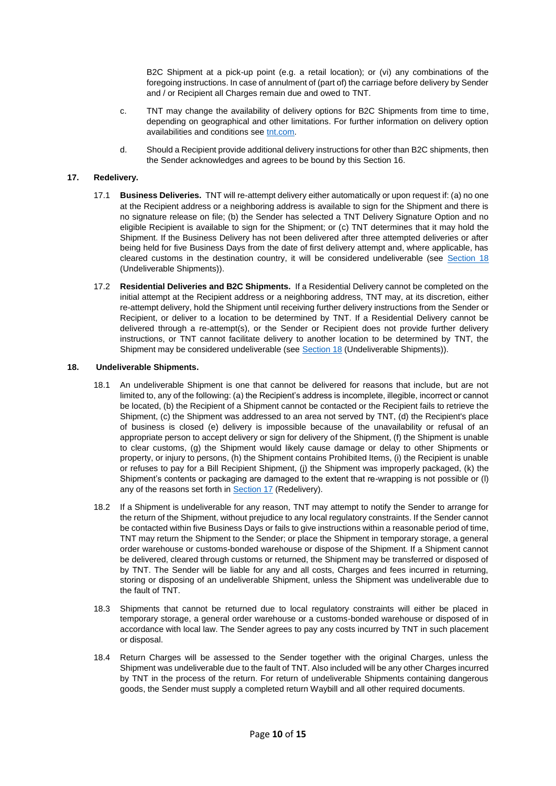B2C Shipment at a pick-up point (e.g. a retail location); or (vi) any combinations of the foregoing instructions. In case of annulment of (part of) the carriage before delivery by Sender and / or Recipient all Charges remain due and owed to TNT.

- c. TNT may change the availability of delivery options for B2C Shipments from time to time, depending on geographical and other limitations. For further information on delivery option availabilities and conditions se[e tnt.com.](https://tnt.com/)
- d. Should a Recipient provide additional delivery instructions for other than B2C shipments, then the Sender acknowledges and agrees to be bound by this Section 16.

### <span id="page-9-1"></span>**17. Redelivery.**

- 17.1 **Business Deliveries.** TNT will re-attempt delivery either automatically or upon request if: (a) no one at the Recipient address or a neighboring address is available to sign for the Shipment and there is no signature release on file; (b) the Sender has selected a TNT Delivery Signature Option and no eligible Recipient is available to sign for the Shipment; or (c) TNT determines that it may hold the Shipment. If the Business Delivery has not been delivered after three attempted deliveries or after being held for five Business Days from the date of first delivery attempt and, where applicable, has cleared customs in the destination country, it will be considered undeliverable (see [Section 18](#page-9-0) (Undeliverable Shipments)).
- 17.2 **Residential Deliveries and B2C Shipments.** If a Residential Delivery cannot be completed on the initial attempt at the Recipient address or a neighboring address, TNT may, at its discretion, either re-attempt delivery, hold the Shipment until receiving further delivery instructions from the Sender or Recipient, or deliver to a location to be determined by TNT. If a Residential Delivery cannot be delivered through a re-attempt(s), or the Sender or Recipient does not provide further delivery instructions, or TNT cannot facilitate delivery to another location to be determined by TNT, the Shipment may be considered undeliverable (see [Section 18](#page-9-0) (Undeliverable Shipments)).

### **18. Undeliverable Shipments.**

- <span id="page-9-0"></span>18.1 An undeliverable Shipment is one that cannot be delivered for reasons that include, but are not limited to, any of the following: (a) the Recipient's address is incomplete, illegible, incorrect or cannot be located, (b) the Recipient of a Shipment cannot be contacted or the Recipient fails to retrieve the Shipment, (c) the Shipment was addressed to an area not served by TNT, (d) the Recipient's place of business is closed (e) delivery is impossible because of the unavailability or refusal of an appropriate person to accept delivery or sign for delivery of the Shipment, (f) the Shipment is unable to clear customs, (g) the Shipment would likely cause damage or delay to other Shipments or property, or injury to persons, (h) the Shipment contains Prohibited Items, (i) the Recipient is unable or refuses to pay for a Bill Recipient Shipment, (j) the Shipment was improperly packaged, (k) the Shipment's contents or packaging are damaged to the extent that re-wrapping is not possible or (l) any of the reasons set forth in **Section 17** (Redelivery).
- 18.2 If a Shipment is undeliverable for any reason, TNT may attempt to notify the Sender to arrange for the return of the Shipment, without prejudice to any local regulatory constraints. If the Sender cannot be contacted within five Business Days or fails to give instructions within a reasonable period of time, TNT may return the Shipment to the Sender; or place the Shipment in temporary storage, a general order warehouse or customs-bonded warehouse or dispose of the Shipment. If a Shipment cannot be delivered, cleared through customs or returned, the Shipment may be transferred or disposed of by TNT. The Sender will be liable for any and all costs, Charges and fees incurred in returning, storing or disposing of an undeliverable Shipment, unless the Shipment was undeliverable due to the fault of TNT.
- 18.3 Shipments that cannot be returned due to local regulatory constraints will either be placed in temporary storage, a general order warehouse or a customs-bonded warehouse or disposed of in accordance with local law. The Sender agrees to pay any costs incurred by TNT in such placement or disposal.
- 18.4 Return Charges will be assessed to the Sender together with the original Charges, unless the Shipment was undeliverable due to the fault of TNT. Also included will be any other Charges incurred by TNT in the process of the return. For return of undeliverable Shipments containing dangerous goods, the Sender must supply a completed return Waybill and all other required documents.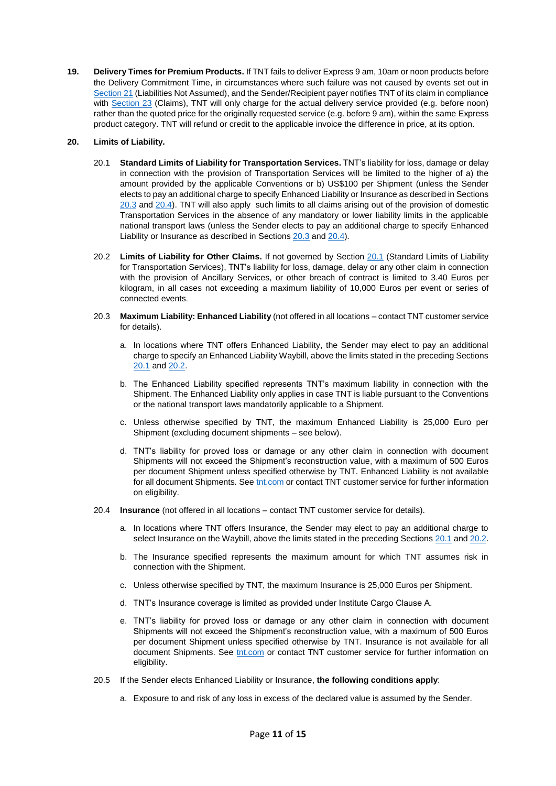**19. Delivery Times for Premium Products.** If TNT fails to deliver Express 9 am, 10am or noon products before the Delivery Commitment Time, in circumstances where such failure was not caused by events set out in [Section 21](#page-11-0) (Liabilities Not Assumed), and the Sender/Recipient payer notifies TNT of its claim in compliance with [Section](#page-12-0) 23 (Claims), TNT will only charge for the actual delivery service provided (e.g. before noon) rather than the quoted price for the originally requested service (e.g. before 9 am), within the same Express product category. TNT will refund or credit to the applicable invoice the difference in price, at its option.

# <span id="page-10-2"></span>**20. Limits of Liability.**

- 20.1 **Standard Limits of Liability for Transportation Services.** TNT's liability for loss, damage or delay in connection with the provision of Transportation Services will be limited to the higher of a) the amount provided by the applicable Conventions or b) US\$100 per Shipment (unless the Sender elects to pay an additional charge to specify Enhanced Liability or Insurance as described in Sections [20.3](#page-10-0) and [20.4\)](#page-10-1). TNT will also apply such limits to all claims arising out of the provision of domestic Transportation Services in the absence of any mandatory or lower liability limits in the applicable national transport laws (unless the Sender elects to pay an additional charge to specify Enhanced Liability or Insurance as described in Sections [20.3](#page-10-0) and [20.4\)](#page-10-1).
- <span id="page-10-3"></span>20.2 **Limits of Liability for Other Claims.** If not governed by Section [20.1](#page-10-2) (Standard Limits of Liability for Transportation Services), TNT's liability for loss, damage, delay or any other claim in connection with the provision of Ancillary Services, or other breach of contract is limited to 3.40 Euros per kilogram, in all cases not exceeding a maximum liability of 10,000 Euros per event or series of connected events.
- <span id="page-10-0"></span>20.3 **Maximum Liability: Enhanced Liability** (not offered in all locations – contact TNT customer service for details).
	- a. In locations where TNT offers Enhanced Liability, the Sender may elect to pay an additional charge to specify an Enhanced Liability Waybill, above the limits stated in the preceding Sections [20.1](#page-10-2) an[d 20.2.](#page-10-3)
	- b. The Enhanced Liability specified represents TNT's maximum liability in connection with the Shipment. The Enhanced Liability only applies in case TNT is liable pursuant to the Conventions or the national transport laws mandatorily applicable to a Shipment.
	- c. Unless otherwise specified by TNT, the maximum Enhanced Liability is 25,000 Euro per Shipment (excluding document shipments – see below).
	- d. TNT's liability for proved loss or damage or any other claim in connection with document Shipments will not exceed the Shipment's reconstruction value, with a maximum of 500 Euros per document Shipment unless specified otherwise by TNT. Enhanced Liability is not available for all document Shipments. Se[e tnt.com](https://tnt.com/) or contact TNT customer service for further information on eligibility.
- <span id="page-10-1"></span>20.4 **Insurance** (not offered in all locations – contact TNT customer service for details).
	- a. In locations where TNT offers Insurance, the Sender may elect to pay an additional charge to select Insurance on the Waybill, above the limits stated in the preceding Sections [20.1](#page-10-2) an[d 20.2.](#page-10-3)
	- b. The Insurance specified represents the maximum amount for which TNT assumes risk in connection with the Shipment.
	- c. Unless otherwise specified by TNT, the maximum Insurance is 25,000 Euros per Shipment.
	- d. TNT's Insurance coverage is limited as provided under Institute Cargo Clause A.
	- e. TNT's liability for proved loss or damage or any other claim in connection with document Shipments will not exceed the Shipment's reconstruction value, with a maximum of 500 Euros per document Shipment unless specified otherwise by TNT. Insurance is not available for all document Shipments. See [tnt.com](https://tnt.com/) or contact TNT customer service for further information on eligibility.
- 20.5 If the Sender elects Enhanced Liability or Insurance, **the following conditions apply**:
	- a. Exposure to and risk of any loss in excess of the declared value is assumed by the Sender.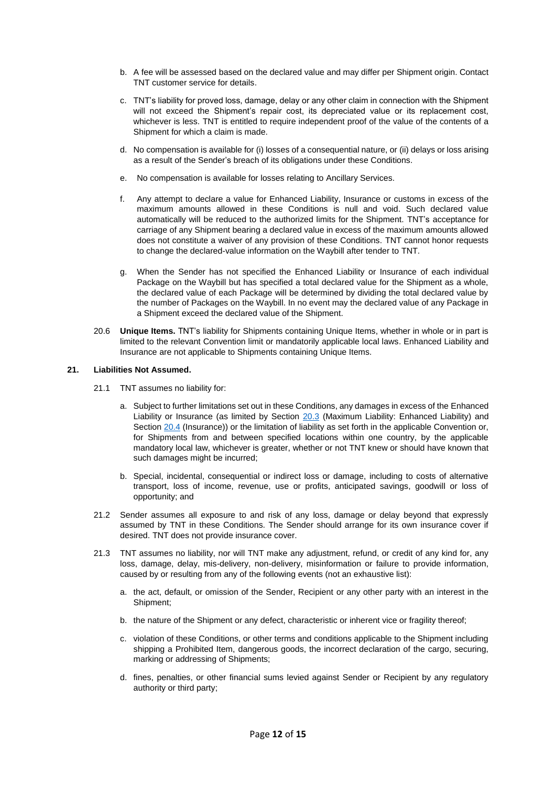- b. A fee will be assessed based on the declared value and may differ per Shipment origin. Contact TNT customer service for details.
- c. TNT's liability for proved loss, damage, delay or any other claim in connection with the Shipment will not exceed the Shipment's repair cost, its depreciated value or its replacement cost, whichever is less. TNT is entitled to require independent proof of the value of the contents of a Shipment for which a claim is made.
- d. No compensation is available for (i) losses of a consequential nature, or (ii) delays or loss arising as a result of the Sender's breach of its obligations under these Conditions.
- e. No compensation is available for losses relating to Ancillary Services.
- f. Any attempt to declare a value for Enhanced Liability, Insurance or customs in excess of the maximum amounts allowed in these Conditions is null and void. Such declared value automatically will be reduced to the authorized limits for the Shipment. TNT's acceptance for carriage of any Shipment bearing a declared value in excess of the maximum amounts allowed does not constitute a waiver of any provision of these Conditions. TNT cannot honor requests to change the declared-value information on the Waybill after tender to TNT.
- g. When the Sender has not specified the Enhanced Liability or Insurance of each individual Package on the Waybill but has specified a total declared value for the Shipment as a whole, the declared value of each Package will be determined by dividing the total declared value by the number of Packages on the Waybill. In no event may the declared value of any Package in a Shipment exceed the declared value of the Shipment.
- 20.6 **Unique Items.** TNT's liability for Shipments containing Unique Items, whether in whole or in part is limited to the relevant Convention limit or mandatorily applicable local laws. Enhanced Liability and Insurance are not applicable to Shipments containing Unique Items.

### <span id="page-11-0"></span>**21. Liabilities Not Assumed.**

- 21.1 TNT assumes no liability for:
	- a. Subject to further limitations set out in these Conditions, any damages in excess of the Enhanced Liability or Insurance (as limited by Section [20.3](#page-10-0) (Maximum Liability: Enhanced Liability) and Section [20.4](#page-10-1) (Insurance)) or the limitation of liability as set forth in the applicable Convention or, for Shipments from and between specified locations within one country, by the applicable mandatory local law, whichever is greater, whether or not TNT knew or should have known that such damages might be incurred;
	- b. Special, incidental, consequential or indirect loss or damage, including to costs of alternative transport, loss of income, revenue, use or profits, anticipated savings, goodwill or loss of opportunity; and
- 21.2 Sender assumes all exposure to and risk of any loss, damage or delay beyond that expressly assumed by TNT in these Conditions. The Sender should arrange for its own insurance cover if desired. TNT does not provide insurance cover.
- 21.3 TNT assumes no liability, nor will TNT make any adjustment, refund, or credit of any kind for, any loss, damage, delay, mis-delivery, non-delivery, misinformation or failure to provide information, caused by or resulting from any of the following events (not an exhaustive list):
	- a. the act, default, or omission of the Sender, Recipient or any other party with an interest in the Shipment;
	- b. the nature of the Shipment or any defect, characteristic or inherent vice or fragility thereof;
	- c. violation of these Conditions, or other terms and conditions applicable to the Shipment including shipping a Prohibited Item, dangerous goods, the incorrect declaration of the cargo, securing, marking or addressing of Shipments;
	- d. fines, penalties, or other financial sums levied against Sender or Recipient by any regulatory authority or third party;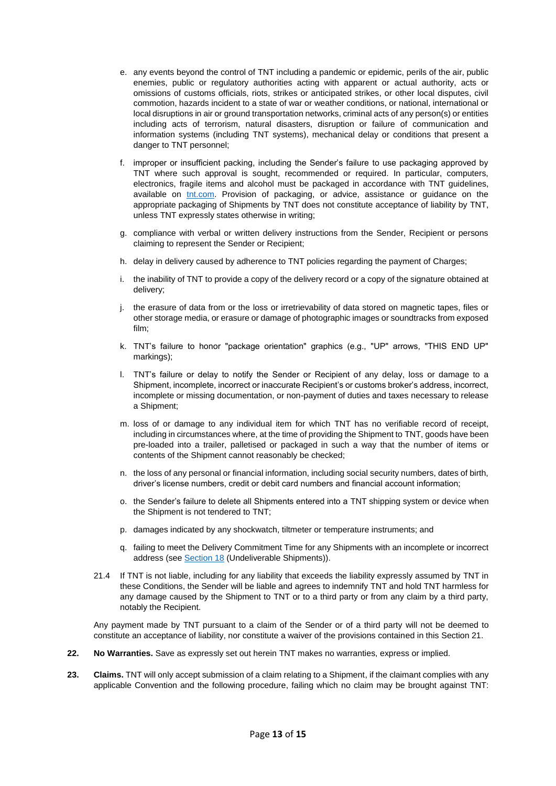- e. any events beyond the control of TNT including a pandemic or epidemic, perils of the air, public enemies, public or regulatory authorities acting with apparent or actual authority, acts or omissions of customs officials, riots, strikes or anticipated strikes, or other local disputes, civil commotion, hazards incident to a state of war or weather conditions, or national, international or local disruptions in air or ground transportation networks, criminal acts of any person(s) or entities including acts of terrorism, natural disasters, disruption or failure of communication and information systems (including TNT systems), mechanical delay or conditions that present a danger to TNT personnel;
- f. improper or insufficient packing, including the Sender's failure to use packaging approved by TNT where such approval is sought, recommended or required. In particular, computers, electronics, fragile items and alcohol must be packaged in accordance with TNT guidelines, available on *tnt.com*. Provision of packaging, or advice, assistance or guidance on the appropriate packaging of Shipments by TNT does not constitute acceptance of liability by TNT, unless TNT expressly states otherwise in writing;
- g. compliance with verbal or written delivery instructions from the Sender, Recipient or persons claiming to represent the Sender or Recipient;
- h. delay in delivery caused by adherence to TNT policies regarding the payment of Charges;
- i. the inability of TNT to provide a copy of the delivery record or a copy of the signature obtained at delivery;
- j. the erasure of data from or the loss or irretrievability of data stored on magnetic tapes, files or other storage media, or erasure or damage of photographic images or soundtracks from exposed film;
- k. TNT's failure to honor "package orientation" graphics (e.g., "UP" arrows, "THIS END UP" markings);
- l. TNT's failure or delay to notify the Sender or Recipient of any delay, loss or damage to a Shipment, incomplete, incorrect or inaccurate Recipient's or customs broker's address, incorrect, incomplete or missing documentation, or non-payment of duties and taxes necessary to release a Shipment;
- m. loss of or damage to any individual item for which TNT has no verifiable record of receipt, including in circumstances where, at the time of providing the Shipment to TNT, goods have been pre-loaded into a trailer, palletised or packaged in such a way that the number of items or contents of the Shipment cannot reasonably be checked;
- n. the loss of any personal or financial information, including social security numbers, dates of birth, driver's license numbers, credit or debit card numbers and financial account information;
- o. the Sender's failure to delete all Shipments entered into a TNT shipping system or device when the Shipment is not tendered to TNT;
- p. damages indicated by any shockwatch, tiltmeter or temperature instruments; and
- q. failing to meet the Delivery Commitment Time for any Shipments with an incomplete or incorrect address (se[e Section 18](#page-9-0) (Undeliverable Shipments)).
- 21.4 If TNT is not liable, including for any liability that exceeds the liability expressly assumed by TNT in these Conditions, the Sender will be liable and agrees to indemnify TNT and hold TNT harmless for any damage caused by the Shipment to TNT or to a third party or from any claim by a third party, notably the Recipient.

Any payment made by TNT pursuant to a claim of the Sender or of a third party will not be deemed to constitute an acceptance of liability, nor constitute a waiver of the provisions contained in this Section 21.

- <span id="page-12-0"></span>**22. No Warranties.** Save as expressly set out herein TNT makes no warranties, express or implied.
- **23. Claims.** TNT will only accept submission of a claim relating to a Shipment, if the claimant complies with any applicable Convention and the following procedure, failing which no claim may be brought against TNT: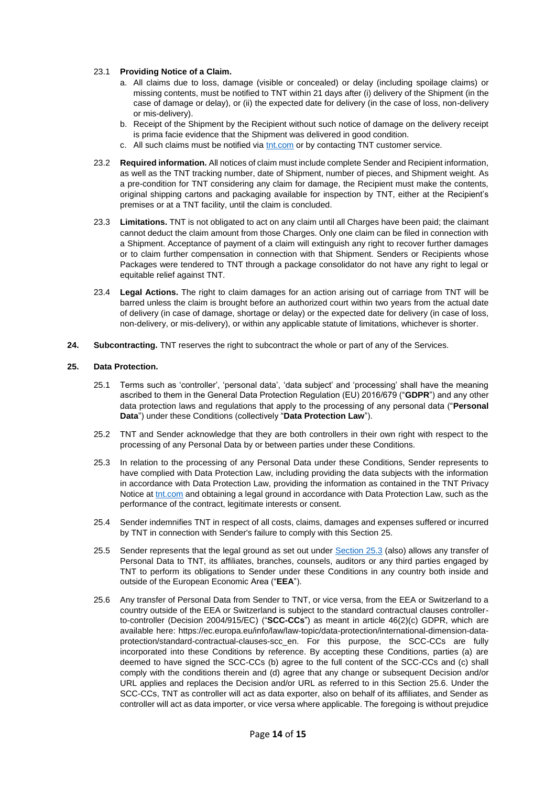### 23.1 **Providing Notice of a Claim.**

- a. All claims due to loss, damage (visible or concealed) or delay (including spoilage claims) or missing contents, must be notified to TNT within 21 days after (i) delivery of the Shipment (in the case of damage or delay), or (ii) the expected date for delivery (in the case of loss, non-delivery or mis-delivery).
- b. Receipt of the Shipment by the Recipient without such notice of damage on the delivery receipt is prima facie evidence that the Shipment was delivered in good condition.
- c. All such claims must be notified via [tnt.com](https://tnt.com/) or by contacting TNT customer service.
- 23.2 **Required information.** All notices of claim must include complete Sender and Recipient information, as well as the TNT tracking number, date of Shipment, number of pieces, and Shipment weight. As a pre-condition for TNT considering any claim for damage, the Recipient must make the contents, original shipping cartons and packaging available for inspection by TNT, either at the Recipient's premises or at a TNT facility, until the claim is concluded.
- 23.3 **Limitations.** TNT is not obligated to act on any claim until all Charges have been paid; the claimant cannot deduct the claim amount from those Charges. Only one claim can be filed in connection with a Shipment. Acceptance of payment of a claim will extinguish any right to recover further damages or to claim further compensation in connection with that Shipment. Senders or Recipients whose Packages were tendered to TNT through a package consolidator do not have any right to legal or equitable relief against TNT.
- 23.4 **Legal Actions.** The right to claim damages for an action arising out of carriage from TNT will be barred unless the claim is brought before an authorized court within two years from the actual date of delivery (in case of damage, shortage or delay) or the expected date for delivery (in case of loss, non-delivery, or mis-delivery), or within any applicable statute of limitations, whichever is shorter.
- **24. Subcontracting.** TNT reserves the right to subcontract the whole or part of any of the Services.

#### **25. Data Protection.**

- 25.1 Terms such as 'controller', 'personal data', 'data subject' and 'processing' shall have the meaning ascribed to them in the General Data Protection Regulation (EU) 2016/679 ("**GDPR**") and any other data protection laws and regulations that apply to the processing of any personal data ("**Personal Data**") under these Conditions (collectively "**Data Protection Law**").
- 25.2 TNT and Sender acknowledge that they are both controllers in their own right with respect to the processing of any Personal Data by or between parties under these Conditions.
- <span id="page-13-0"></span>25.3 In relation to the processing of any Personal Data under these Conditions, Sender represents to have complied with Data Protection Law, including providing the data subjects with the information in accordance with Data Protection Law, providing the information as contained in the TNT Privacy Notice a[t tnt.com](https://tnt.com/) and obtaining a legal ground in accordance with Data Protection Law, such as the performance of the contract, legitimate interests or consent.
- 25.4 Sender indemnifies TNT in respect of all costs, claims, damages and expenses suffered or incurred by TNT in connection with Sender's failure to comply with this Section 25.
- 25.5 Sender represents that the legal ground as set out under [Section 25.3](#page-13-0) (also) allows any transfer of Personal Data to TNT, its affiliates, branches, counsels, auditors or any third parties engaged by TNT to perform its obligations to Sender under these Conditions in any country both inside and outside of the European Economic Area ("**EEA**").
- 25.6 Any transfer of Personal Data from Sender to TNT, or vice versa, from the EEA or Switzerland to a country outside of the EEA or Switzerland is subject to the standard contractual clauses controllerto-controller (Decision 2004/915/EC) ("**SCC-CCs**") as meant in article 46(2)(c) GDPR, which are available here: https://ec.europa.eu/info/law/law-topic/data-protection/international-dimension-dataprotection/standard-contractual-clauses-scc\_en. For this purpose, the SCC-CCs are fully incorporated into these Conditions by reference. By accepting these Conditions, parties (a) are deemed to have signed the SCC-CCs (b) agree to the full content of the SCC-CCs and (c) shall comply with the conditions therein and (d) agree that any change or subsequent Decision and/or URL applies and replaces the Decision and/or URL as referred to in this Section 25.6. Under the SCC-CCs, TNT as controller will act as data exporter, also on behalf of its affiliates, and Sender as controller will act as data importer, or vice versa where applicable. The foregoing is without prejudice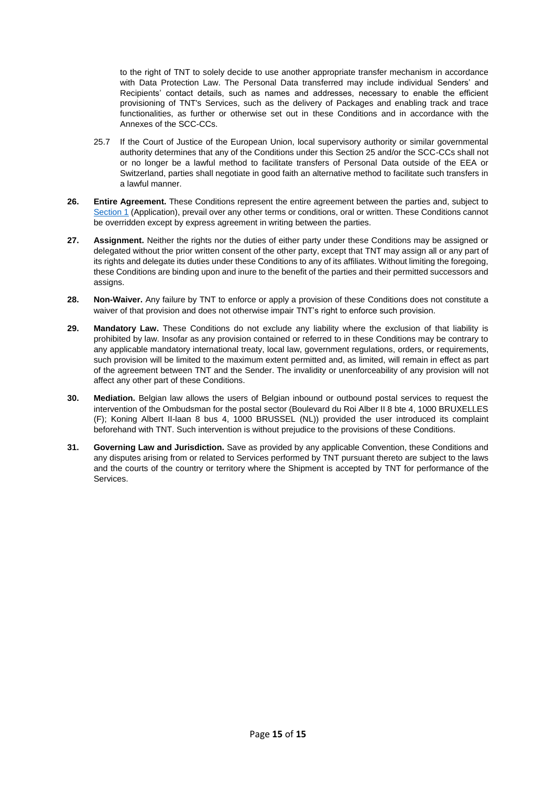to the right of TNT to solely decide to use another appropriate transfer mechanism in accordance with Data Protection Law. The Personal Data transferred may include individual Senders' and Recipients' contact details, such as names and addresses, necessary to enable the efficient provisioning of TNT's Services, such as the delivery of Packages and enabling track and trace functionalities, as further or otherwise set out in these Conditions and in accordance with the Annexes of the SCC-CCs.

- 25.7 If the Court of Justice of the European Union, local supervisory authority or similar governmental authority determines that any of the Conditions under this Section 25 and/or the SCC-CCs shall not or no longer be a lawful method to facilitate transfers of Personal Data outside of the EEA or Switzerland, parties shall negotiate in good faith an alternative method to facilitate such transfers in a lawful manner.
- **26. Entire Agreement.** These Conditions represent the entire agreement between the parties and, subject to [Section 1](#page-0-0) (Application), prevail over any other terms or conditions, oral or written. These Conditions cannot be overridden except by express agreement in writing between the parties.
- **27. Assignment.** Neither the rights nor the duties of either party under these Conditions may be assigned or delegated without the prior written consent of the other party, except that TNT may assign all or any part of its rights and delegate its duties under these Conditions to any of its affiliates. Without limiting the foregoing, these Conditions are binding upon and inure to the benefit of the parties and their permitted successors and assigns.
- **28. Non-Waiver.** Any failure by TNT to enforce or apply a provision of these Conditions does not constitute a waiver of that provision and does not otherwise impair TNT's right to enforce such provision.
- **29. Mandatory Law.** These Conditions do not exclude any liability where the exclusion of that liability is prohibited by law. Insofar as any provision contained or referred to in these Conditions may be contrary to any applicable mandatory international treaty, local law, government regulations, orders, or requirements, such provision will be limited to the maximum extent permitted and, as limited, will remain in effect as part of the agreement between TNT and the Sender. The invalidity or unenforceability of any provision will not affect any other part of these Conditions.
- **30. Mediation.** Belgian law allows the users of Belgian inbound or outbound postal services to request the intervention of the Ombudsman for the postal sector (Boulevard du Roi Alber II 8 bte 4, 1000 BRUXELLES (F); Koning Albert II-laan 8 bus 4, 1000 BRUSSEL (NL)) provided the user introduced its complaint beforehand with TNT. Such intervention is without prejudice to the provisions of these Conditions.
- **31. Governing Law and Jurisdiction.** Save as provided by any applicable Convention, these Conditions and any disputes arising from or related to Services performed by TNT pursuant thereto are subject to the laws and the courts of the country or territory where the Shipment is accepted by TNT for performance of the Services.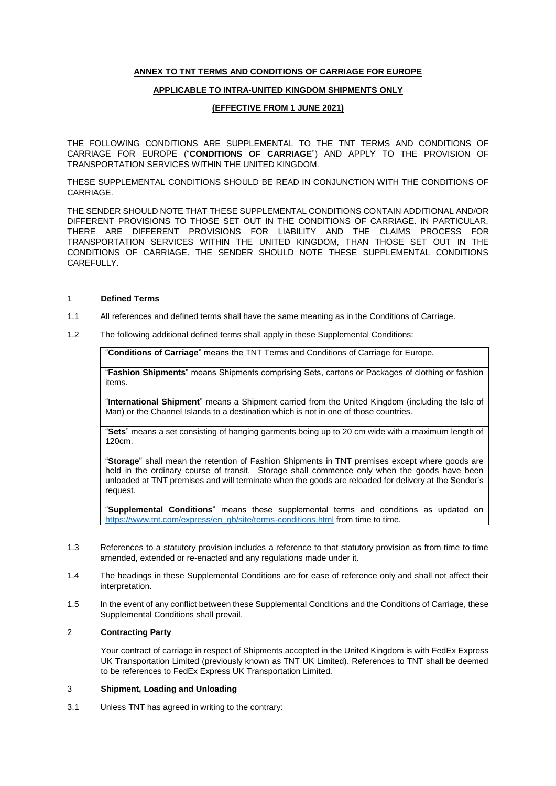## **ANNEX TO TNT TERMS AND CONDITIONS OF CARRIAGE FOR EUROPE**

### **APPLICABLE TO INTRA-UNITED KINGDOM SHIPMENTS ONLY**

### **(EFFECTIVE FROM 1 JUNE 2021)**

THE FOLLOWING CONDITIONS ARE SUPPLEMENTAL TO THE TNT TERMS AND CONDITIONS OF CARRIAGE FOR EUROPE ("**CONDITIONS OF CARRIAGE**") AND APPLY TO THE PROVISION OF TRANSPORTATION SERVICES WITHIN THE UNITED KINGDOM.

THESE SUPPLEMENTAL CONDITIONS SHOULD BE READ IN CONJUNCTION WITH THE CONDITIONS OF CARRIAGE.

THE SENDER SHOULD NOTE THAT THESE SUPPLEMENTAL CONDITIONS CONTAIN ADDITIONAL AND/OR DIFFERENT PROVISIONS TO THOSE SET OUT IN THE CONDITIONS OF CARRIAGE. IN PARTICULAR, THERE ARE DIFFERENT PROVISIONS FOR LIABILITY AND THE CLAIMS PROCESS FOR TRANSPORTATION SERVICES WITHIN THE UNITED KINGDOM, THAN THOSE SET OUT IN THE CONDITIONS OF CARRIAGE. THE SENDER SHOULD NOTE THESE SUPPLEMENTAL CONDITIONS **CAREFULLY** 

#### 1 **Defined Terms**

- 1.1 All references and defined terms shall have the same meaning as in the Conditions of Carriage.
- 1.2 The following additional defined terms shall apply in these Supplemental Conditions:

"**Conditions of Carriage**" means the TNT Terms and Conditions of Carriage for Europe.

"**Fashion Shipments**" means Shipments comprising Sets, cartons or Packages of clothing or fashion items.

"**International Shipment**" means a Shipment carried from the United Kingdom (including the Isle of Man) or the Channel Islands to a destination which is not in one of those countries.

"**Sets**" means a set consisting of hanging garments being up to 20 cm wide with a maximum length of 120cm.

"**Storage**" shall mean the retention of Fashion Shipments in TNT premises except where goods are held in the ordinary course of transit. Storage shall commence only when the goods have been unloaded at TNT premises and will terminate when the goods are reloaded for delivery at the Sender's request.

"**Supplemental Conditions**" means these supplemental terms and conditions as updated on [https://www.tnt.com/express/en\\_gb/site/terms-conditions.html](https://www.tnt.com/express/en_gb/site/terms-conditions.html) from time to time.

- 1.3 References to a statutory provision includes a reference to that statutory provision as from time to time amended, extended or re-enacted and any regulations made under it.
- 1.4 The headings in these Supplemental Conditions are for ease of reference only and shall not affect their interpretation.
- 1.5 In the event of any conflict between these Supplemental Conditions and the Conditions of Carriage, these Supplemental Conditions shall prevail.

## 2 **Contracting Party**

Your contract of carriage in respect of Shipments accepted in the United Kingdom is with FedEx Express UK Transportation Limited (previously known as TNT UK Limited). References to TNT shall be deemed to be references to FedEx Express UK Transportation Limited.

### 3 **Shipment, Loading and Unloading**

3.1 Unless TNT has agreed in writing to the contrary: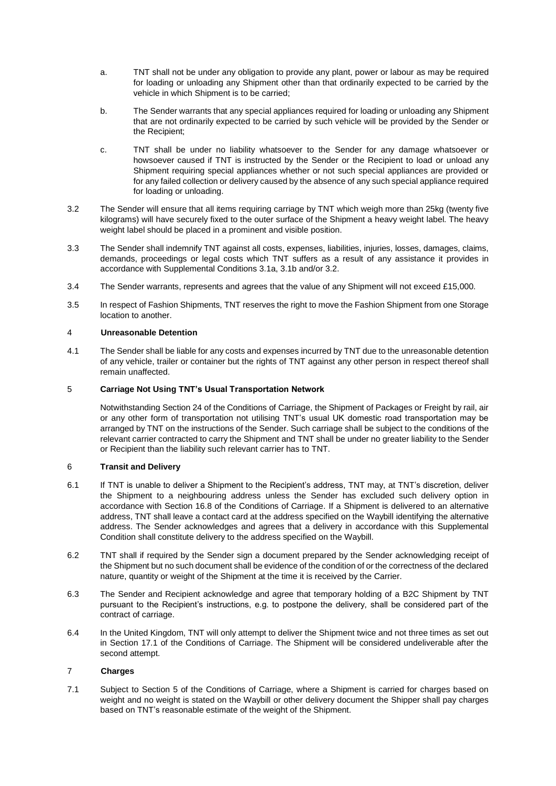- a. TNT shall not be under any obligation to provide any plant, power or labour as may be required for loading or unloading any Shipment other than that ordinarily expected to be carried by the vehicle in which Shipment is to be carried;
- b. The Sender warrants that any special appliances required for loading or unloading any Shipment that are not ordinarily expected to be carried by such vehicle will be provided by the Sender or the Recipient;
- c. TNT shall be under no liability whatsoever to the Sender for any damage whatsoever or howsoever caused if TNT is instructed by the Sender or the Recipient to load or unload any Shipment requiring special appliances whether or not such special appliances are provided or for any failed collection or delivery caused by the absence of any such special appliance required for loading or unloading.
- 3.2 The Sender will ensure that all items requiring carriage by TNT which weigh more than 25kg (twenty five kilograms) will have securely fixed to the outer surface of the Shipment a heavy weight label. The heavy weight label should be placed in a prominent and visible position.
- 3.3 The Sender shall indemnify TNT against all costs, expenses, liabilities, injuries, losses, damages, claims, demands, proceedings or legal costs which TNT suffers as a result of any assistance it provides in accordance with Supplemental Conditions 3.1a, 3.1b and/or 3.2.
- 3.4 The Sender warrants, represents and agrees that the value of any Shipment will not exceed £15,000.
- 3.5 In respect of Fashion Shipments, TNT reserves the right to move the Fashion Shipment from one Storage location to another.

### 4 **Unreasonable Detention**

4.1 The Sender shall be liable for any costs and expenses incurred by TNT due to the unreasonable detention of any vehicle, trailer or container but the rights of TNT against any other person in respect thereof shall remain unaffected.

### 5 **Carriage Not Using TNT's Usual Transportation Network**

Notwithstanding Section 24 of the Conditions of Carriage, the Shipment of Packages or Freight by rail, air or any other form of transportation not utilising TNT's usual UK domestic road transportation may be arranged by TNT on the instructions of the Sender. Such carriage shall be subject to the conditions of the relevant carrier contracted to carry the Shipment and TNT shall be under no greater liability to the Sender or Recipient than the liability such relevant carrier has to TNT.

## 6 **Transit and Delivery**

- 6.1 If TNT is unable to deliver a Shipment to the Recipient's address, TNT may, at TNT's discretion, deliver the Shipment to a neighbouring address unless the Sender has excluded such delivery option in accordance with Section 16.8 of the Conditions of Carriage. If a Shipment is delivered to an alternative address, TNT shall leave a contact card at the address specified on the Waybill identifying the alternative address. The Sender acknowledges and agrees that a delivery in accordance with this Supplemental Condition shall constitute delivery to the address specified on the Waybill.
- 6.2 TNT shall if required by the Sender sign a document prepared by the Sender acknowledging receipt of the Shipment but no such document shall be evidence of the condition of or the correctness of the declared nature, quantity or weight of the Shipment at the time it is received by the Carrier.
- 6.3 The Sender and Recipient acknowledge and agree that temporary holding of a B2C Shipment by TNT pursuant to the Recipient's instructions, e.g. to postpone the delivery, shall be considered part of the contract of carriage.
- 6.4 In the United Kingdom, TNT will only attempt to deliver the Shipment twice and not three times as set out in Section 17.1 of the Conditions of Carriage. The Shipment will be considered undeliverable after the second attempt.

# 7 **Charges**

7.1 Subject to Section 5 of the Conditions of Carriage, where a Shipment is carried for charges based on weight and no weight is stated on the Waybill or other delivery document the Shipper shall pay charges based on TNT's reasonable estimate of the weight of the Shipment.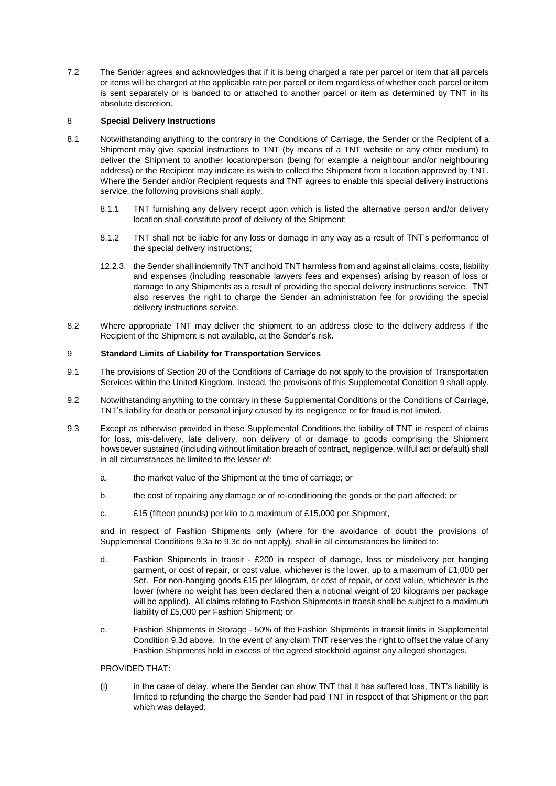7.2 The Sender agrees and acknowledges that if it is being charged a rate per parcel or item that all parcels or items will be charged at the applicable rate per parcel or item regardless of whether each parcel or item is sent separately or is banded to or attached to another parcel or item as determined by TNT in its absolute discretion.

### 8 **Special Delivery Instructions**

- 8.1 Notwithstanding anything to the contrary in the Conditions of Carriage, the Sender or the Recipient of a Shipment may give special instructions to TNT (by means of a TNT website or any other medium) to deliver the Shipment to another location/person (being for example a neighbour and/or neighbouring address) or the Recipient may indicate its wish to collect the Shipment from a location approved by TNT. Where the Sender and/or Recipient requests and TNT agrees to enable this special delivery instructions service, the following provisions shall apply:
	- 8.1.1 TNT furnishing any delivery receipt upon which is listed the alternative person and/or delivery location shall constitute proof of delivery of the Shipment;
	- 8.1.2 TNT shall not be liable for any loss or damage in any way as a result of TNT's performance of the special delivery instructions;
	- 12.2.3. the Sender shall indemnify TNT and hold TNT harmless from and against all claims, costs, liability and expenses (including reasonable lawyers fees and expenses) arising by reason of loss or damage to any Shipments as a result of providing the special delivery instructions service. TNT also reserves the right to charge the Sender an administration fee for providing the special delivery instructions service.
- 8.2 Where appropriate TNT may deliver the shipment to an address close to the delivery address if the Recipient of the Shipment is not available, at the Sender's risk.

### 9 **Standard Limits of Liability for Transportation Services**

- 9.1 The provisions of Section 20 of the Conditions of Carriage do not apply to the provision of Transportation Services within the United Kingdom. Instead, the provisions of this Supplemental Condition 9 shall apply.
- 9.2 Notwithstanding anything to the contrary in these Supplemental Conditions or the Conditions of Carriage, TNT's liability for death or personal injury caused by its negligence or for fraud is not limited.
- 9.3 Except as otherwise provided in these Supplemental Conditions the liability of TNT in respect of claims for loss, mis-delivery, late delivery, non delivery of or damage to goods comprising the Shipment howsoever sustained (including without limitation breach of contract, negligence, willful act or default) shall in all circumstances be limited to the lesser of:
	- a. the market value of the Shipment at the time of carriage; or
	- b. the cost of repairing any damage or of re-conditioning the goods or the part affected; or
	- c. £15 (fifteen pounds) per kilo to a maximum of £15,000 per Shipment,

and in respect of Fashion Shipments only (where for the avoidance of doubt the provisions of Supplemental Conditions 9.3a to 9.3c do not apply), shall in all circumstances be limited to:

- d. Fashion Shipments in transit £200 in respect of damage, loss or misdelivery per hanging garment, or cost of repair, or cost value, whichever is the lower, up to a maximum of £1,000 per Set. For non-hanging goods £15 per kilogram, or cost of repair, or cost value, whichever is the lower (where no weight has been declared then a notional weight of 20 kilograms per package will be applied). All claims relating to Fashion Shipments in transit shall be subject to a maximum liability of £5,000 per Fashion Shipment; or
- e. Fashion Shipments in Storage 50% of the Fashion Shipments in transit limits in Supplemental Condition 9.3d above. In the event of any claim TNT reserves the right to offset the value of any Fashion Shipments held in excess of the agreed stockhold against any alleged shortages,

#### PROVIDED THAT:

(i) in the case of delay, where the Sender can show TNT that it has suffered loss, TNT's liability is limited to refunding the charge the Sender had paid TNT in respect of that Shipment or the part which was delayed;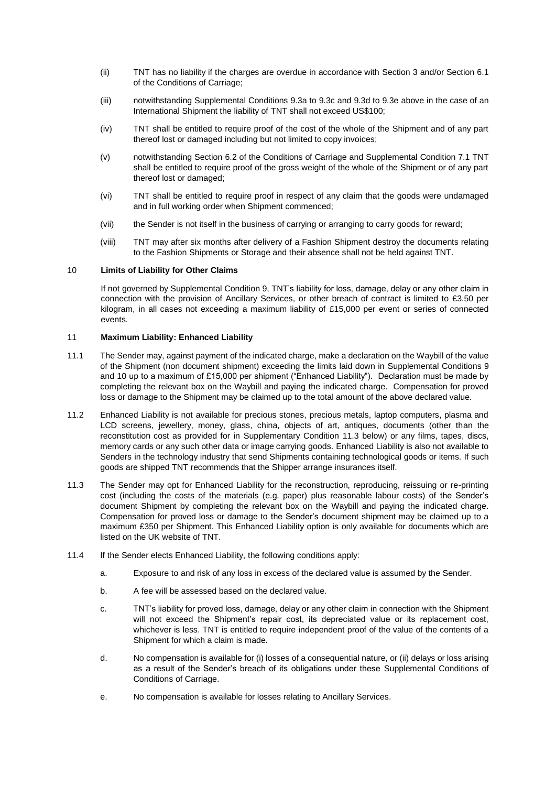- (ii) TNT has no liability if the charges are overdue in accordance with Section 3 and/or Section 6.1 of the Conditions of Carriage;
- (iii) notwithstanding Supplemental Conditions 9.3a to 9.3c and 9.3d to 9.3e above in the case of an International Shipment the liability of TNT shall not exceed US\$100;
- (iv) TNT shall be entitled to require proof of the cost of the whole of the Shipment and of any part thereof lost or damaged including but not limited to copy invoices;
- (v) notwithstanding Section 6.2 of the Conditions of Carriage and Supplemental Condition 7.1 TNT shall be entitled to require proof of the gross weight of the whole of the Shipment or of any part thereof lost or damaged;
- (vi) TNT shall be entitled to require proof in respect of any claim that the goods were undamaged and in full working order when Shipment commenced;
- (vii) the Sender is not itself in the business of carrying or arranging to carry goods for reward;
- (viii) TNT may after six months after delivery of a Fashion Shipment destroy the documents relating to the Fashion Shipments or Storage and their absence shall not be held against TNT.

#### 10 **Limits of Liability for Other Claims**

If not governed by Supplemental Condition 9, TNT's liability for loss, damage, delay or any other claim in connection with the provision of Ancillary Services, or other breach of contract is limited to £3.50 per kilogram, in all cases not exceeding a maximum liability of £15,000 per event or series of connected events.

#### 11 **Maximum Liability: Enhanced Liability**

- 11.1 The Sender may, against payment of the indicated charge, make a declaration on the Waybill of the value of the Shipment (non document shipment) exceeding the limits laid down in Supplemental Conditions 9 and 10 up to a maximum of £15,000 per shipment ("Enhanced Liability"). Declaration must be made by completing the relevant box on the Waybill and paying the indicated charge. Compensation for proved loss or damage to the Shipment may be claimed up to the total amount of the above declared value.
- 11.2 Enhanced Liability is not available for precious stones, precious metals, laptop computers, plasma and LCD screens, jewellery, money, glass, china, objects of art, antiques, documents (other than the reconstitution cost as provided for in Supplementary Condition 11.3 below) or any films, tapes, discs, memory cards or any such other data or image carrying goods. Enhanced Liability is also not available to Senders in the technology industry that send Shipments containing technological goods or items. If such goods are shipped TNT recommends that the Shipper arrange insurances itself.
- 11.3 The Sender may opt for Enhanced Liability for the reconstruction, reproducing, reissuing or re-printing cost (including the costs of the materials (e.g. paper) plus reasonable labour costs) of the Sender's document Shipment by completing the relevant box on the Waybill and paying the indicated charge. Compensation for proved loss or damage to the Sender's document shipment may be claimed up to a maximum £350 per Shipment. This Enhanced Liability option is only available for documents which are listed on the UK website of TNT.
- 11.4 If the Sender elects Enhanced Liability, the following conditions apply:
	- a. Exposure to and risk of any loss in excess of the declared value is assumed by the Sender.
	- b. A fee will be assessed based on the declared value.
	- c. TNT's liability for proved loss, damage, delay or any other claim in connection with the Shipment will not exceed the Shipment's repair cost, its depreciated value or its replacement cost, whichever is less. TNT is entitled to require independent proof of the value of the contents of a Shipment for which a claim is made.
	- d. No compensation is available for (i) losses of a consequential nature, or (ii) delays or loss arising as a result of the Sender's breach of its obligations under these Supplemental Conditions of Conditions of Carriage.
	- e. No compensation is available for losses relating to Ancillary Services.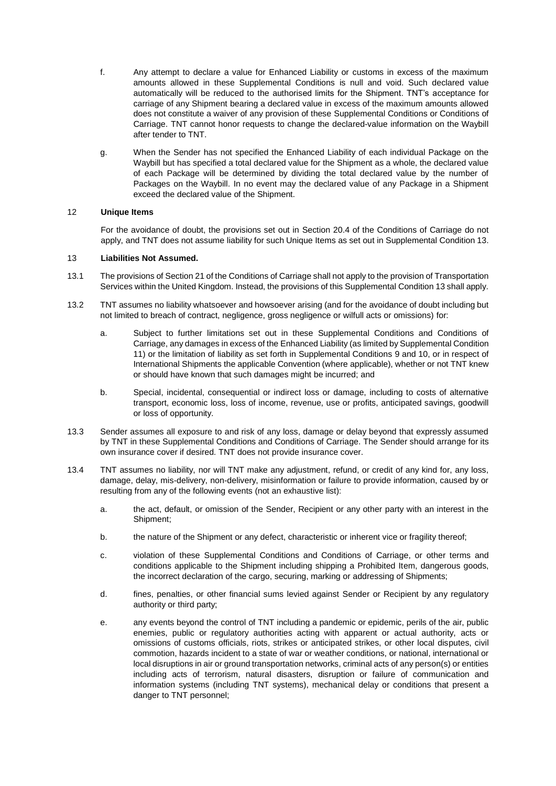- f. Any attempt to declare a value for Enhanced Liability or customs in excess of the maximum amounts allowed in these Supplemental Conditions is null and void. Such declared value automatically will be reduced to the authorised limits for the Shipment. TNT's acceptance for carriage of any Shipment bearing a declared value in excess of the maximum amounts allowed does not constitute a waiver of any provision of these Supplemental Conditions or Conditions of Carriage. TNT cannot honor requests to change the declared-value information on the Waybill after tender to TNT.
- g. When the Sender has not specified the Enhanced Liability of each individual Package on the Waybill but has specified a total declared value for the Shipment as a whole, the declared value of each Package will be determined by dividing the total declared value by the number of Packages on the Waybill. In no event may the declared value of any Package in a Shipment exceed the declared value of the Shipment.

### 12 **Unique Items**

For the avoidance of doubt, the provisions set out in Section 20.4 of the Conditions of Carriage do not apply, and TNT does not assume liability for such Unique Items as set out in Supplemental Condition 13.

#### <span id="page-19-0"></span>13 **Liabilities Not Assumed.**

- 13.1 The provisions of Section 21 of the Conditions of Carriage shall not apply to the provision of Transportation Services within the United Kingdom. Instead, the provisions of this Supplemental Condition 13 shall apply.
- 13.2 TNT assumes no liability whatsoever and howsoever arising (and for the avoidance of doubt including but not limited to breach of contract, negligence, gross negligence or wilfull acts or omissions) for:
	- a. Subject to further limitations set out in these Supplemental Conditions and Conditions of Carriage, any damages in excess of the Enhanced Liability (as limited by Supplemental Condition 11) or the limitation of liability as set forth in Supplemental Conditions 9 and 10, or in respect of International Shipments the applicable Convention (where applicable), whether or not TNT knew or should have known that such damages might be incurred; and
	- b. Special, incidental, consequential or indirect loss or damage, including to costs of alternative transport, economic loss, loss of income, revenue, use or profits, anticipated savings, goodwill or loss of opportunity.
- 13.3 Sender assumes all exposure to and risk of any loss, damage or delay beyond that expressly assumed by TNT in these Supplemental Conditions and Conditions of Carriage. The Sender should arrange for its own insurance cover if desired. TNT does not provide insurance cover.
- 13.4 TNT assumes no liability, nor will TNT make any adjustment, refund, or credit of any kind for, any loss, damage, delay, mis-delivery, non-delivery, misinformation or failure to provide information, caused by or resulting from any of the following events (not an exhaustive list):
	- a. the act, default, or omission of the Sender, Recipient or any other party with an interest in the Shipment;
	- b. the nature of the Shipment or any defect, characteristic or inherent vice or fragility thereof;
	- c. violation of these Supplemental Conditions and Conditions of Carriage, or other terms and conditions applicable to the Shipment including shipping a Prohibited Item, dangerous goods, the incorrect declaration of the cargo, securing, marking or addressing of Shipments;
	- d. fines, penalties, or other financial sums levied against Sender or Recipient by any regulatory authority or third party;
	- e. any events beyond the control of TNT including a pandemic or epidemic, perils of the air, public enemies, public or regulatory authorities acting with apparent or actual authority, acts or omissions of customs officials, riots, strikes or anticipated strikes, or other local disputes, civil commotion, hazards incident to a state of war or weather conditions, or national, international or local disruptions in air or ground transportation networks, criminal acts of any person(s) or entities including acts of terrorism, natural disasters, disruption or failure of communication and information systems (including TNT systems), mechanical delay or conditions that present a danger to TNT personnel;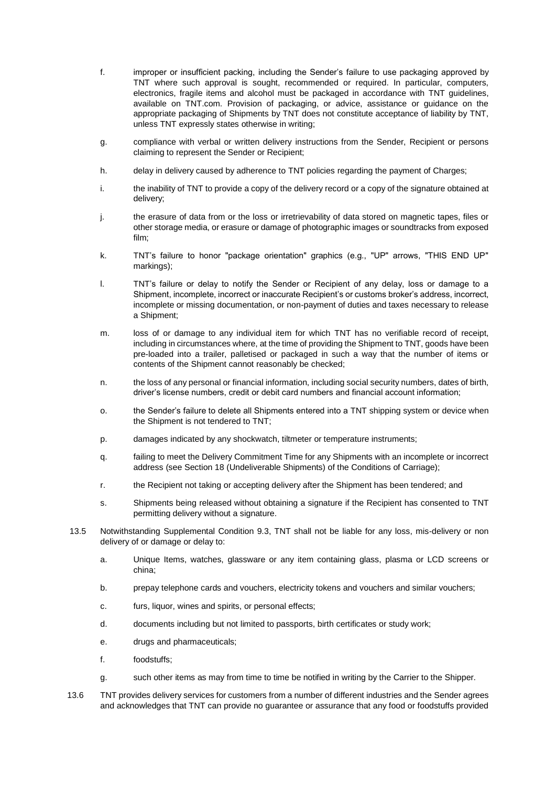- f. improper or insufficient packing, including the Sender's failure to use packaging approved by TNT where such approval is sought, recommended or required. In particular, computers, electronics, fragile items and alcohol must be packaged in accordance with TNT guidelines, available on [TNT.com.](https://fedex.com/) Provision of packaging, or advice, assistance or guidance on the appropriate packaging of Shipments by TNT does not constitute acceptance of liability by TNT, unless TNT expressly states otherwise in writing;
- g. compliance with verbal or written delivery instructions from the Sender, Recipient or persons claiming to represent the Sender or Recipient;
- h. delay in delivery caused by adherence to TNT policies regarding the payment of Charges;
- i. the inability of TNT to provide a copy of the delivery record or a copy of the signature obtained at delivery;
- j. the erasure of data from or the loss or irretrievability of data stored on magnetic tapes, files or other storage media, or erasure or damage of photographic images or soundtracks from exposed film;
- k. TNT's failure to honor "package orientation" graphics (e.g., "UP" arrows, "THIS END UP" markings);
- l. TNT's failure or delay to notify the Sender or Recipient of any delay, loss or damage to a Shipment, incomplete, incorrect or inaccurate Recipient's or customs broker's address, incorrect, incomplete or missing documentation, or non-payment of duties and taxes necessary to release a Shipment;
- m. loss of or damage to any individual item for which TNT has no verifiable record of receipt, including in circumstances where, at the time of providing the Shipment to TNT, goods have been pre-loaded into a trailer, palletised or packaged in such a way that the number of items or contents of the Shipment cannot reasonably be checked;
- n. the loss of any personal or financial information, including social security numbers, dates of birth, driver's license numbers, credit or debit card numbers and financial account information;
- o. the Sender's failure to delete all Shipments entered into a TNT shipping system or device when the Shipment is not tendered to TNT;
- p. damages indicated by any shockwatch, tiltmeter or temperature instruments;
- q. failing to meet the Delivery Commitment Time for any Shipments with an incomplete or incorrect address (see Section 18 (Undeliverable Shipments) of the Conditions of Carriage);
- r. the Recipient not taking or accepting delivery after the Shipment has been tendered; and
- s. Shipments being released without obtaining a signature if the Recipient has consented to TNT permitting delivery without a signature.
- 13.5 Notwithstanding Supplemental Condition 9.3, TNT shall not be liable for any loss, mis-delivery or non delivery of or damage or delay to:
	- a. Unique Items, watches, glassware or any item containing glass, plasma or LCD screens or china;
	- b. prepay telephone cards and vouchers, electricity tokens and vouchers and similar vouchers;
	- c. furs, liquor, wines and spirits, or personal effects;
	- d. documents including but not limited to passports, birth certificates or study work;
	- e. drugs and pharmaceuticals;
	- f. foodstuffs;
	- g. such other items as may from time to time be notified in writing by the Carrier to the Shipper.
- 13.6 TNT provides delivery services for customers from a number of different industries and the Sender agrees and acknowledges that TNT can provide no guarantee or assurance that any food or foodstuffs provided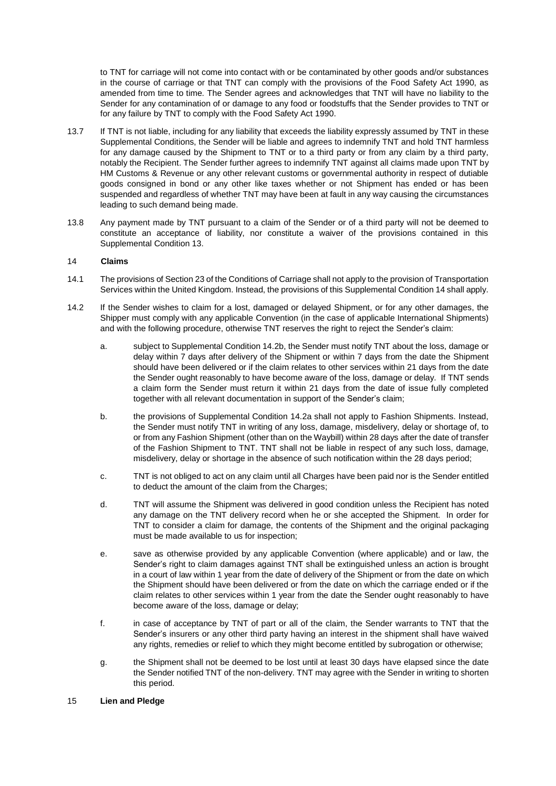to TNT for carriage will not come into contact with or be contaminated by other goods and/or substances in the course of carriage or that TNT can comply with the provisions of the Food Safety Act 1990, as amended from time to time. The Sender agrees and acknowledges that TNT will have no liability to the Sender for any contamination of or damage to any food or foodstuffs that the Sender provides to TNT or for any failure by TNT to comply with the Food Safety Act 1990.

- 13.7 If TNT is not liable, including for any liability that exceeds the liability expressly assumed by TNT in these Supplemental Conditions, the Sender will be liable and agrees to indemnify TNT and hold TNT harmless for any damage caused by the Shipment to TNT or to a third party or from any claim by a third party, notably the Recipient. The Sender further agrees to indemnify TNT against all claims made upon TNT by HM Customs & Revenue or any other relevant customs or governmental authority in respect of dutiable goods consigned in bond or any other like taxes whether or not Shipment has ended or has been suspended and regardless of whether TNT may have been at fault in any way causing the circumstances leading to such demand being made.
- 13.8 Any payment made by TNT pursuant to a claim of the Sender or of a third party will not be deemed to constitute an acceptance of liability, nor constitute a waiver of the provisions contained in this [Supplemental](#page-19-0) Condition 13.

## 14 **Claims**

- 14.1 The provisions of Section 23 of the Conditions of Carriage shall not apply to the provision of Transportation Services within the United Kingdom. Instead, the provisions of this Supplemental Condition 14 shall apply.
- 14.2 If the Sender wishes to claim for a lost, damaged or delayed Shipment, or for any other damages, the Shipper must comply with any applicable Convention (in the case of applicable International Shipments) and with the following procedure, otherwise TNT reserves the right to reject the Sender's claim:
	- a. subject to Supplemental Condition 14.2b, the Sender must notify TNT about the loss, damage or delay within 7 days after delivery of the Shipment or within 7 days from the date the Shipment should have been delivered or if the claim relates to other services within 21 days from the date the Sender ought reasonably to have become aware of the loss, damage or delay. If TNT sends a claim form the Sender must return it within 21 days from the date of issue fully completed together with all relevant documentation in support of the Sender's claim;
	- b. the provisions of Supplemental Condition 14.2a shall not apply to Fashion Shipments. Instead, the Sender must notify TNT in writing of any loss, damage, misdelivery, delay or shortage of, to or from any Fashion Shipment (other than on the Waybill) within 28 days after the date of transfer of the Fashion Shipment to TNT. TNT shall not be liable in respect of any such loss, damage, misdelivery, delay or shortage in the absence of such notification within the 28 days period;
	- c. TNT is not obliged to act on any claim until all Charges have been paid nor is the Sender entitled to deduct the amount of the claim from the Charges;
	- d. TNT will assume the Shipment was delivered in good condition unless the Recipient has noted any damage on the TNT delivery record when he or she accepted the Shipment. In order for TNT to consider a claim for damage, the contents of the Shipment and the original packaging must be made available to us for inspection;
	- e. save as otherwise provided by any applicable Convention (where applicable) and or law, the Sender's right to claim damages against TNT shall be extinguished unless an action is brought in a court of law within 1 year from the date of delivery of the Shipment or from the date on which the Shipment should have been delivered or from the date on which the carriage ended or if the claim relates to other services within 1 year from the date the Sender ought reasonably to have become aware of the loss, damage or delay;
	- f. in case of acceptance by TNT of part or all of the claim, the Sender warrants to TNT that the Sender's insurers or any other third party having an interest in the shipment shall have waived any rights, remedies or relief to which they might become entitled by subrogation or otherwise;
	- g. the Shipment shall not be deemed to be lost until at least 30 days have elapsed since the date the Sender notified TNT of the non-delivery. TNT may agree with the Sender in writing to shorten this period.

#### 15 **Lien and Pledge**